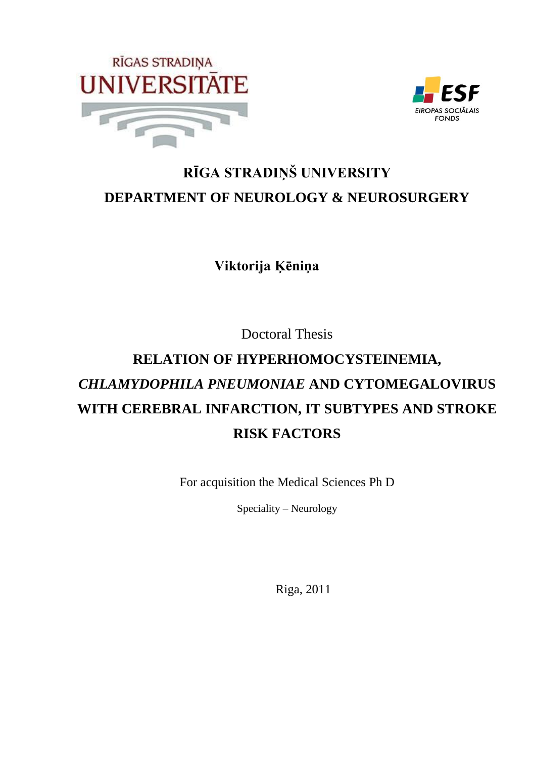



# **RĪGA STRADIŅŠ UNIVERSITY DEPARTMENT OF NEUROLOGY & NEUROSURGERY**

**Viktorija Ķēniņa**

Doctoral Thesis

# **RELATION OF HYPERHOMOCYSTEINEMIA,**  *CHLAMYDOPHILA PNEUMONIAE* **AND CYTOMEGALOVIRUS WITH CEREBRAL INFARCTION, IT SUBTYPES AND STROKE RISK FACTORS**

For acquisition the Medical Sciences Ph D

Speciality – Neurology

Riga, 2011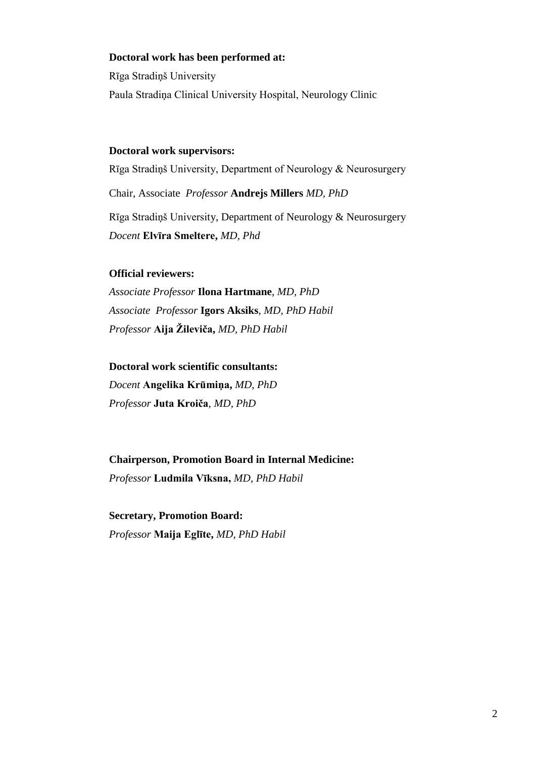#### **Doctoral work has been performed at:**

Rīga Stradiņš University Paula Stradiņa Clinical University Hospital, Neurology Clinic

#### **Doctoral work supervisors:**

Rīga Stradiņš University, Department of Neurology & Neurosurgery Chair, Associate *Professor* **Andrejs Millers** *MD, PhD* Rīga Stradiņš University, Department of Neurology & Neurosurgery *Docent* **Elvīra Smeltere,** *MD, Phd*

#### **Official reviewers:**

*Associate Professor* **Ilona Hartmane**, *MD, PhD Associate Professor* **Igors Aksiks**, *MD, PhD Habil Professor* **Aija Ţileviča,** *MD, PhD Habil* 

#### **Doctoral work scientific consultants:**

*Docent* **Angelika Krūmiņa,** *MD, PhD Professor* **Juta Kroiča***, MD, PhD*

#### **Chairperson, Promotion Board in Internal Medicine:**

*Professor* **Ludmila Vīksna,** *MD, PhD Habil*

**Secretary, Promotion Board:** *Professor* **Maija Eglīte,** *MD, PhD Habil*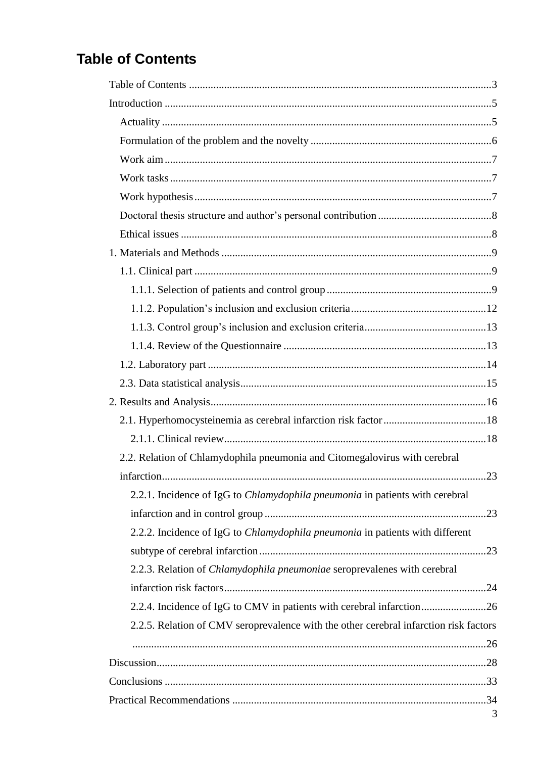# **Table of Contents**

| 2.2. Relation of Chlamydophila pneumonia and Citomegalovirus with cerebral            |
|---------------------------------------------------------------------------------------|
|                                                                                       |
| 2.2.1. Incidence of IgG to <i>Chlamydophila pneumonia</i> in patients with cerebral   |
|                                                                                       |
| 2.2.2. Incidence of IgG to Chlamydophila pneumonia in patients with different         |
|                                                                                       |
| 2.2.3. Relation of Chlamydophila pneumoniae seroprevalenes with cerebral              |
|                                                                                       |
| 2.2.4. Incidence of IgG to CMV in patients with cerebral infarction26                 |
| 2.2.5. Relation of CMV seroprevalence with the other cerebral infarction risk factors |
|                                                                                       |
|                                                                                       |
|                                                                                       |
|                                                                                       |
| 3                                                                                     |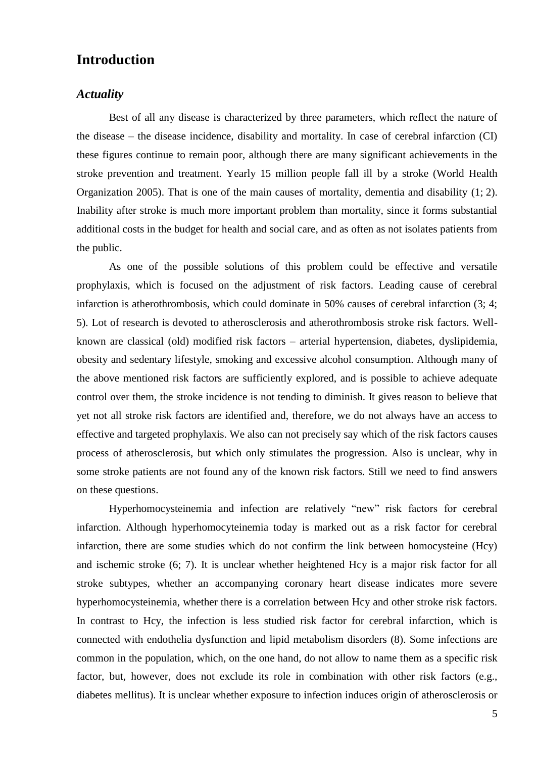### **Introduction**

#### *Actuality*

Best of all any disease is characterized by three parameters, which reflect the nature of the disease – the disease incidence, disability and mortality. In case of cerebral infarction (CI) these figures continue to remain poor, although there are many significant achievements in the stroke prevention and treatment. Yearly 15 million people fall ill by a stroke (World Health Organization 2005). That is one of the main causes of mortality, dementia and disability (1; 2). Inability after stroke is much more important problem than mortality, since it forms substantial additional costs in the budget for health and social care, and as often as not isolates patients from the public.

As one of the possible solutions of this problem could be effective and versatile prophylaxis, which is focused on the adjustment of risk factors. Leading cause of cerebral infarction is atherothrombosis, which could dominate in 50% causes of cerebral infarction (3; 4; 5). Lot of research is devoted to atherosclerosis and atherothrombosis stroke risk factors. Wellknown are classical (old) modified risk factors – arterial hypertension, diabetes, dyslipidemia, obesity and sedentary lifestyle, smoking and excessive alcohol consumption. Although many of the above mentioned risk factors are sufficiently explored, and is possible to achieve adequate control over them, the stroke incidence is not tending to diminish. It gives reason to believe that yet not all stroke risk factors are identified and, therefore, we do not always have an access to effective and targeted prophylaxis. We also can not precisely say which of the risk factors causes process of atherosclerosis, but which only stimulates the progression. Also is unclear, why in some stroke patients are not found any of the known risk factors. Still we need to find answers on these questions.

Hyperhomocysteinemia and infection are relatively "new" risk factors for cerebral infarction. Although hyperhomocyteinemia today is marked out as a risk factor for cerebral infarction, there are some studies which do not confirm the link between homocysteine (Hcy) and ischemic stroke (6; 7). It is unclear whether heightened Hcy is a major risk factor for all stroke subtypes, whether an accompanying coronary heart disease indicates more severe hyperhomocysteinemia, whether there is a correlation between Hcy and other stroke risk factors. In contrast to Hcy, the infection is less studied risk factor for cerebral infarction, which is connected with endothelia dysfunction and lipid metabolism disorders (8). Some infections are common in the population, which, on the one hand, do not allow to name them as a specific risk factor, but, however, does not exclude its role in combination with other risk factors (e.g., diabetes mellitus). It is unclear whether exposure to infection induces origin of atherosclerosis or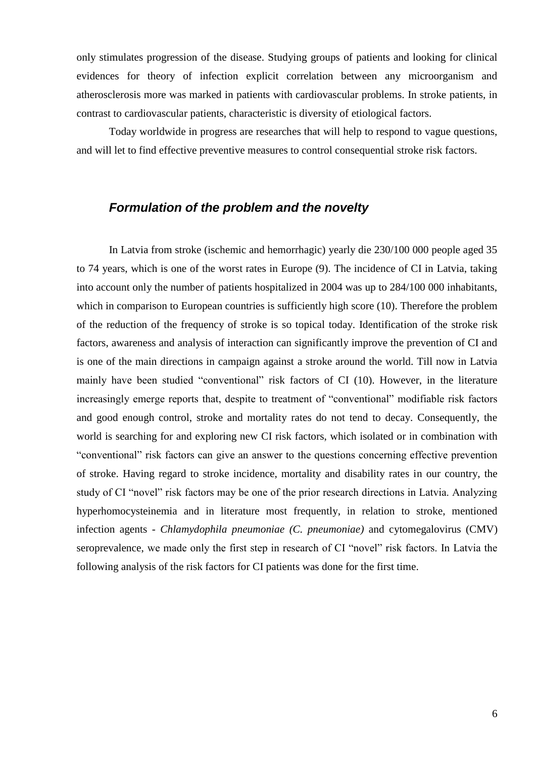only stimulates progression of the disease. Studying groups of patients and looking for clinical evidences for theory of infection explicit correlation between any microorganism and atherosclerosis more was marked in patients with cardiovascular problems. In stroke patients, in contrast to cardiovascular patients, characteristic is diversity of etiological factors.

Today worldwide in progress are researches that will help to respond to vague questions, and will let to find effective preventive measures to control consequential stroke risk factors.

### *Formulation of the problem and the novelty*

In Latvia from stroke (ischemic and hemorrhagic) yearly die 230/100 000 people aged 35 to 74 years, which is one of the worst rates in Europe (9). The incidence of CI in Latvia, taking into account only the number of patients hospitalized in 2004 was up to 284/100 000 inhabitants, which in comparison to European countries is sufficiently high score (10). Therefore the problem of the reduction of the frequency of stroke is so topical today. Identification of the stroke risk factors, awareness and analysis of interaction can significantly improve the prevention of CI and is one of the main directions in campaign against a stroke around the world. Till now in Latvia mainly have been studied "conventional" risk factors of CI (10). However, in the literature increasingly emerge reports that, despite to treatment of "conventional" modifiable risk factors and good enough control, stroke and mortality rates do not tend to decay. Consequently, the world is searching for and exploring new CI risk factors, which isolated or in combination with "conventional" risk factors can give an answer to the questions concerning effective prevention of stroke. Having regard to stroke incidence, mortality and disability rates in our country, the study of CI "novel" risk factors may be one of the prior research directions in Latvia. Analyzing hyperhomocysteinemia and in literature most frequently, in relation to stroke, mentioned infection agents - *Chlamydophila pneumoniae (C. pneumoniae)* and cytomegalovirus (CMV) seroprevalence, we made only the first step in research of CI "novel" risk factors. In Latvia the following analysis of the risk factors for CI patients was done for the first time.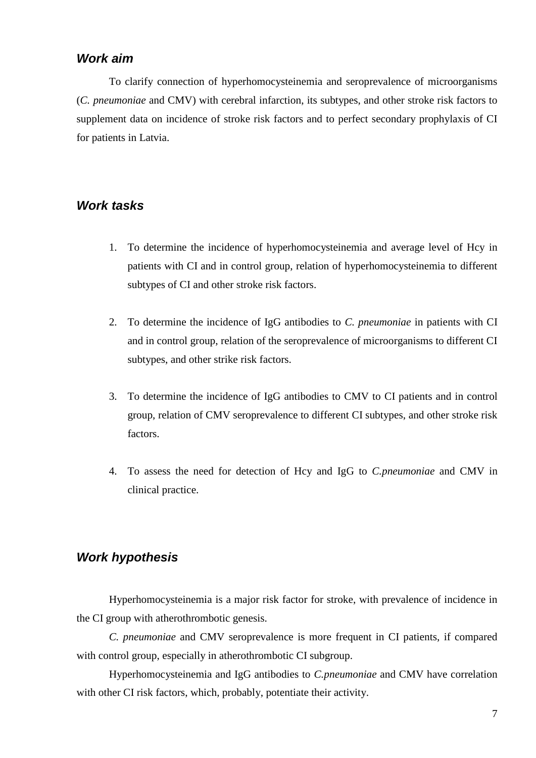#### *Work aim*

To clarify connection of hyperhomocysteinemia and seroprevalence of microorganisms (*C. pneumoniae* and CMV) with cerebral infarction, its subtypes, and other stroke risk factors to supplement data on incidence of stroke risk factors and to perfect secondary prophylaxis of CI for patients in Latvia.

#### *Work tasks*

- 1. To determine the incidence of hyperhomocysteinemia and average level of Hcy in patients with CI and in control group, relation of hyperhomocysteinemia to different subtypes of CI and other stroke risk factors.
- 2. To determine the incidence of IgG antibodies to *C. pneumoniae* in patients with CI and in control group, relation of the seroprevalence of microorganisms to different CI subtypes, and other strike risk factors.
- 3. To determine the incidence of IgG antibodies to CMV to CI patients and in control group, relation of CMV seroprevalence to different CI subtypes, and other stroke risk factors.
- 4. To assess the need for detection of Hcy and IgG to *C.pneumoniae* and CMV in clinical practice.

#### *Work hypothesis*

Hyperhomocysteinemia is a major risk factor for stroke, with prevalence of incidence in the CI group with atherothrombotic genesis.

*C. pneumoniae* and CMV seroprevalence is more frequent in CI patients, if compared with control group, especially in atherothrombotic CI subgroup.

Hyperhomocysteinemia and IgG antibodies to *C.pneumoniae* and CMV have correlation with other CI risk factors, which, probably, potentiate their activity.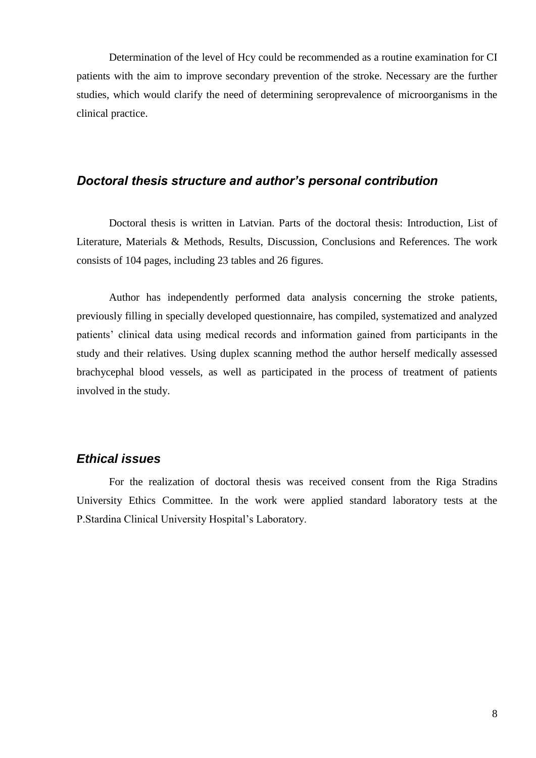Determination of the level of Hcy could be recommended as a routine examination for CI patients with the aim to improve secondary prevention of the stroke. Necessary are the further studies, which would clarify the need of determining seroprevalence of microorganisms in the clinical practice.

#### *Doctoral thesis structure and author's personal contribution*

Doctoral thesis is written in Latvian. Parts of the doctoral thesis: Introduction, List of Literature, Materials & Methods, Results, Discussion, Conclusions and References. The work consists of 104 pages, including 23 tables and 26 figures.

Author has independently performed data analysis concerning the stroke patients, previously filling in specially developed questionnaire, has compiled, systematized and analyzed patients' clinical data using medical records and information gained from participants in the study and their relatives. Using duplex scanning method the author herself medically assessed brachycephal blood vessels, as well as participated in the process of treatment of patients involved in the study.

#### *Ethical issues*

For the realization of doctoral thesis was received consent from the Riga Stradins University Ethics Committee. In the work were applied standard laboratory tests at the P.Stardina Clinical University Hospital's Laboratory.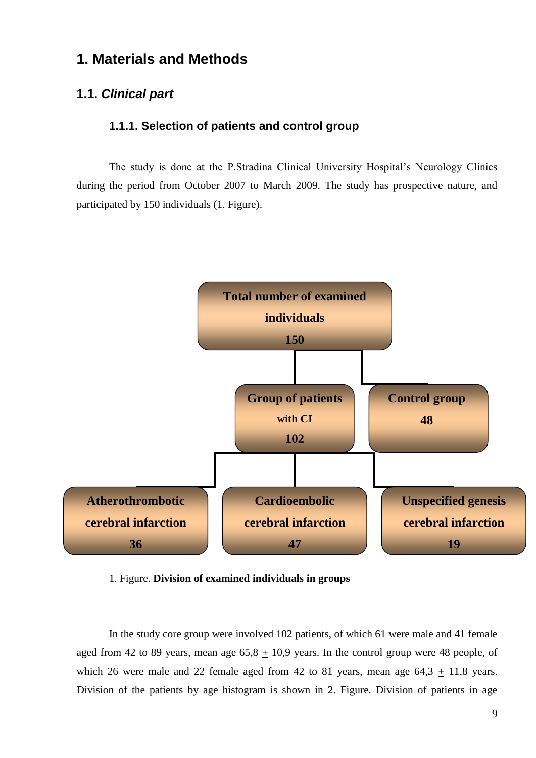# **1. Materials and Methods**

#### **1.1.** *Clinical part*

#### **1.1.1. Selection of patients and control group**

The study is done at the P.Stradina Clinical University Hospital's Neurology Clinics during the period from October 2007 to March 2009. The study has prospective nature, and participated by 150 individuals (1. Figure).



1. Figure. **Division of examined individuals in groups**

In the study core group were involved 102 patients, of which 61 were male and 41 female aged from 42 to 89 years, mean age  $65,8 \pm 10,9$  years. In the control group were 48 people, of which 26 were male and 22 female aged from 42 to 81 years, mean age  $64,3 + 11,8$  years. Division of the patients by age histogram is shown in 2. Figure. Division of patients in age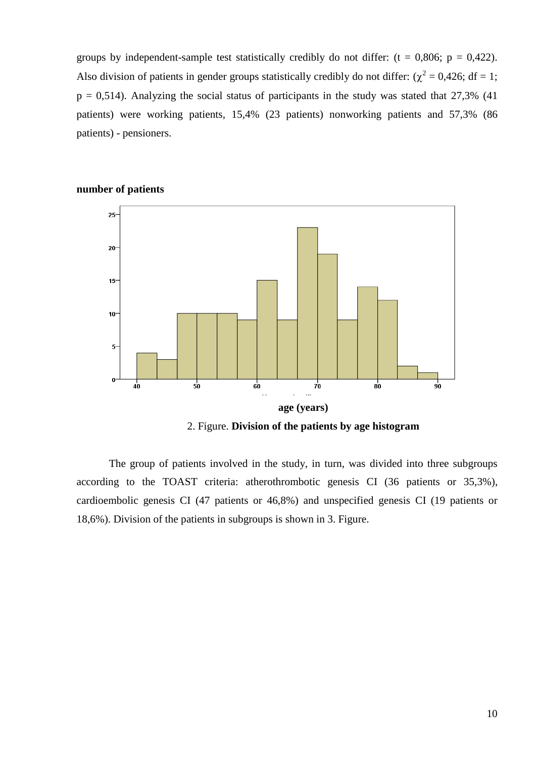groups by independent-sample test statistically credibly do not differ:  $(t = 0.806; p = 0.422)$ . Also division of patients in gender groups statistically credibly do not differ:  $(\chi^2 = 0.426; df = 1;$  $p = 0.514$ ). Analyzing the social status of participants in the study was stated that 27.3% (41) patients) were working patients, 15,4% (23 patients) nonworking patients and 57,3% (86 patients) - pensioners.



#### **number of patients**

2. Figure. **Division of the patients by age histogram**

The group of patients involved in the study, in turn, was divided into three subgroups according to the TOAST criteria: atherothrombotic genesis CI (36 patients or 35,3%), cardioembolic genesis CI (47 patients or 46,8%) and unspecified genesis CI (19 patients or 18,6%). Division of the patients in subgroups is shown in 3. Figure.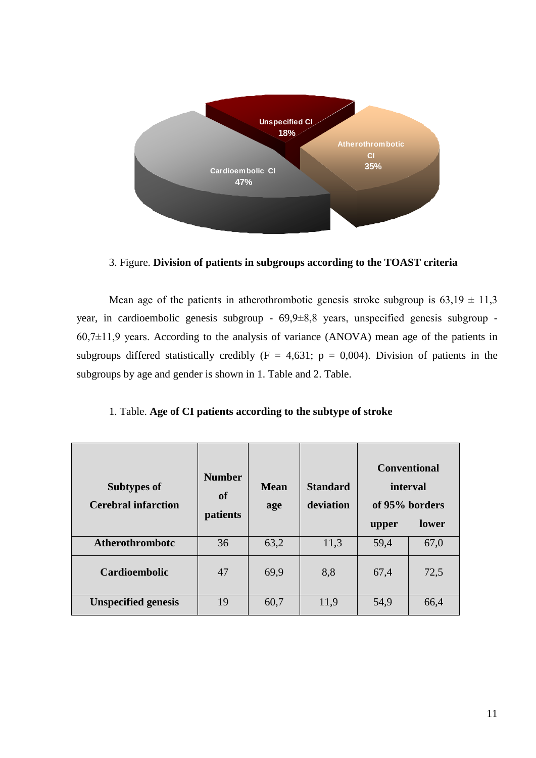

3. Figure. **Division of patients in subgroups according to the TOAST criteria**

Mean age of the patients in atherothrombotic genesis stroke subgroup is  $63,19 \pm 11,3$ year, in cardioembolic genesis subgroup - 69,9±8,8 years, unspecified genesis subgroup -  $60,7\pm11,9$  years. According to the analysis of variance (ANOVA) mean age of the patients in subgroups differed statistically credibly  $(F = 4,631; p = 0,004)$ . Division of patients in the subgroups by age and gender is shown in 1. Table and 2. Table.

| <b>Subtypes of</b><br><b>Cerebral infarction</b> | <b>Number</b><br>of<br>patients | <b>Mean</b><br>age | <b>Standard</b><br>deviation | interval<br>of 95% borders<br>upper | <b>Conventional</b><br>lower |
|--------------------------------------------------|---------------------------------|--------------------|------------------------------|-------------------------------------|------------------------------|
| <b>Atherothrombotc</b>                           | 36                              | 63,2               | 11,3                         | 59,4                                | 67,0                         |
| <b>Cardioembolic</b>                             | 47                              | 69,9               | 8,8                          | 67,4                                | 72,5                         |
| <b>Unspecified genesis</b>                       | 19                              | 60,7               | 11,9                         | 54,9                                | 66,4                         |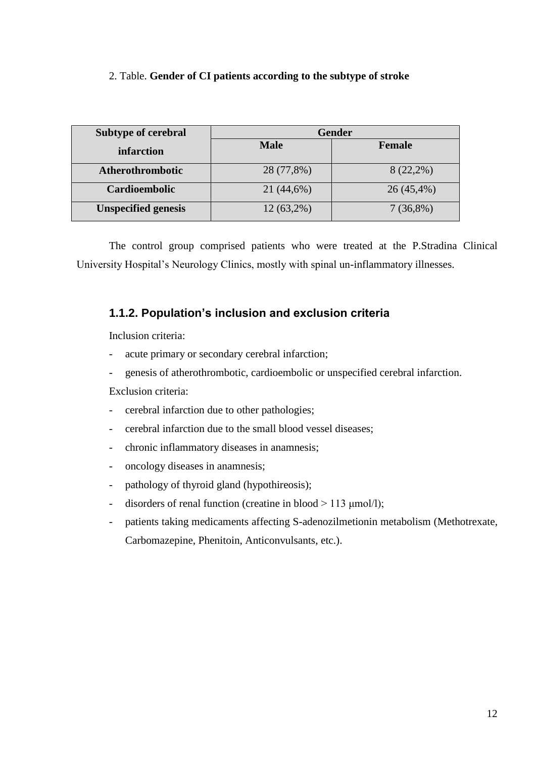#### 2. Table. **Gender of CI patients according to the subtype of stroke**

| <b>Subtype of cerebral</b> | <b>Gender</b> |               |  |  |
|----------------------------|---------------|---------------|--|--|
| infarction                 | <b>Male</b>   | <b>Female</b> |  |  |
| Atherothrombotic           | 28 (77,8%)    | $8(22,2\%)$   |  |  |
| <b>Cardioembolic</b>       | 21 (44,6%)    | $26(45,4\%)$  |  |  |
| <b>Unspecified genesis</b> | $12(63,2\%)$  | $7(36,8\%)$   |  |  |

The control group comprised patients who were treated at the P.Stradina Clinical University Hospital's Neurology Clinics, mostly with spinal un-inflammatory illnesses.

### **1.1.2. Population's inclusion and exclusion criteria**

Inclusion criteria:

- acute primary or secondary cerebral infarction;
- genesis of atherothrombotic, cardioembolic or unspecified cerebral infarction.

Exclusion criteria:

- cerebral infarction due to other pathologies;
- cerebral infarction due to the small blood vessel diseases:
- chronic inflammatory diseases in anamnesis;
- oncology diseases in anamnesis;
- pathology of thyroid gland (hypothireosis);
- disorders of renal function (creatine in blood  $> 113 \text{ µmol/l}$ );
- patients taking medicaments affecting S-adenozilmetionin metabolism (Methotrexate, Carbomazepine, Phenitoin, Anticonvulsants, etc.).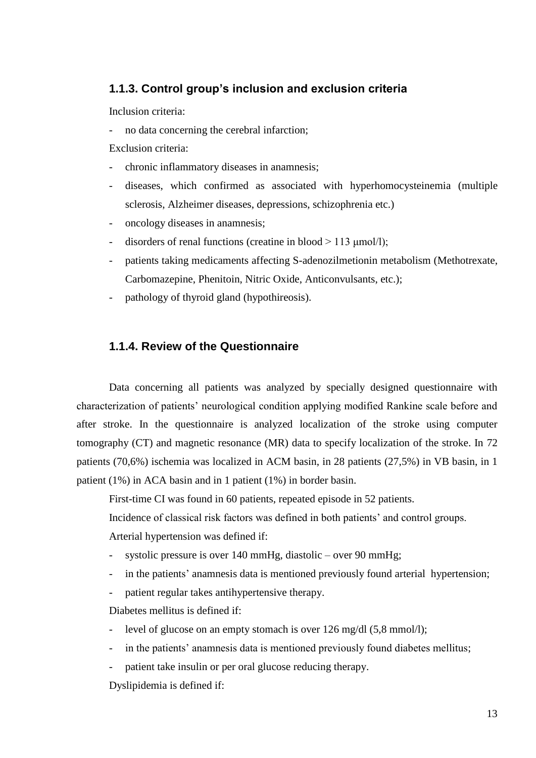#### **1.1.3. Control group's inclusion and exclusion criteria**

Inclusion criteria:

- no data concerning the cerebral infarction;

Exclusion criteria:

- chronic inflammatory diseases in anamnesis;
- diseases, which confirmed as associated with hyperhomocysteinemia (multiple sclerosis, Alzheimer diseases, depressions, schizophrenia etc.)
- oncology diseases in anamnesis;
- disorders of renal functions (creatine in blood  $> 113 \text{ µmol/l}$ );
- patients taking medicaments affecting S-adenozilmetionin metabolism (Methotrexate, Carbomazepine, Phenitoin, Nitric Oxide, Anticonvulsants, etc.);
- pathology of thyroid gland (hypothireosis).

#### **1.1.4. Review of the Questionnaire**

Data concerning all patients was analyzed by specially designed questionnaire with characterization of patients' neurological condition applying modified Rankine scale before and after stroke. In the questionnaire is analyzed localization of the stroke using computer tomography (CT) and magnetic resonance (MR) data to specify localization of the stroke. In 72 patients (70,6%) ischemia was localized in ACM basin, in 28 patients (27,5%) in VB basin, in 1 patient (1%) in ACA basin and in 1 patient (1%) in border basin.

First-time CI was found in 60 patients, repeated episode in 52 patients.

Incidence of classical risk factors was defined in both patients' and control groups.

Arterial hypertension was defined if:

- systolic pressure is over 140 mmHg, diastolic over 90 mmHg;
- in the patients' anamnesis data is mentioned previously found arterial hypertension;
- patient regular takes antihypertensive therapy.

Diabetes mellitus is defined if:

- level of glucose on an empty stomach is over 126 mg/dl (5,8 mmol/l);
- in the patients' anamnesis data is mentioned previously found diabetes mellitus;
- patient take insulin or per oral glucose reducing therapy.

Dyslipidemia is defined if: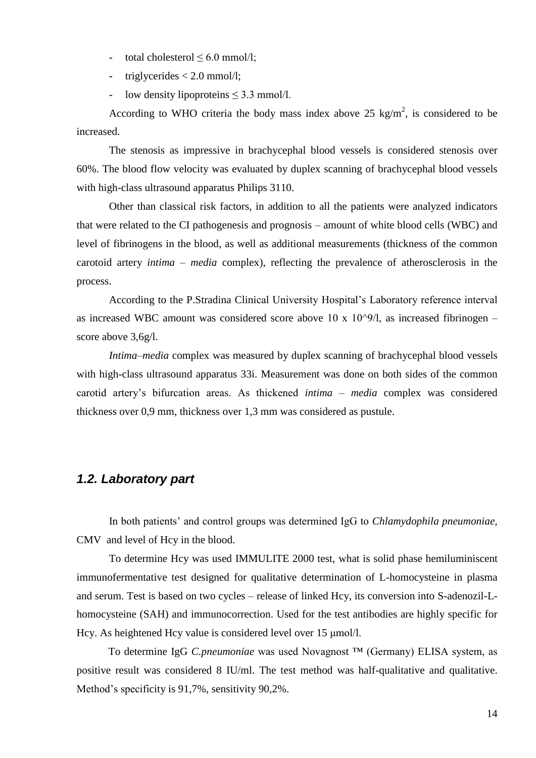- total cholesterol  $\leq 6.0$  mmol/l;
- triglycerides < 2.0 mmol/l;
- low density lipoproteins ≤ 3.3 mmol/l.

According to WHO criteria the body mass index above 25 kg/m<sup>2</sup>, is considered to be increased.

The stenosis as impressive in brachycephal blood vessels is considered stenosis over 60%. The blood flow velocity was evaluated by duplex scanning of brachycephal blood vessels with high-class ultrasound apparatus Philips 3110.

Other than classical risk factors, in addition to all the patients were analyzed indicators that were related to the CI pathogenesis and prognosis – amount of white blood cells (WBC) and level of fibrinogens in the blood, as well as additional measurements (thickness of the common carotoid artery *intima – media* complex), reflecting the prevalence of atherosclerosis in the process.

According to the P.Stradina Clinical University Hospital's Laboratory reference interval as increased WBC amount was considered score above 10 x 10 $\degree$ 9/l, as increased fibrinogen – score above 3,6g/l.

*Intima–media* complex was measured by duplex scanning of brachycephal blood vessels with high-class ultrasound apparatus 33i. Measurement was done on both sides of the common carotid artery's bifurcation areas. As thickened *intima – media* complex was considered thickness over 0,9 mm, thickness over 1,3 mm was considered as pustule.

#### *1.2. Laboratory part*

In both patients' and control groups was determined IgG to *Chlamydophila pneumoniae,*  CMV and level of Hcy in the blood.

To determine Hcy was used IMMULITE 2000 test, what is solid phase hemiluminiscent immunofermentative test designed for qualitative determination of L-homocysteine in plasma and serum. Test is based on two cycles – release of linked Hcy, its conversion into S-adenozil-Lhomocysteine (SAH) and immunocorrection. Used for the test antibodies are highly specific for Hcy. As heightened Hcy value is considered level over 15 μmol/l.

To determine IgG *C.pneumoniae* was used Novagnost ™ (Germany) ELISA system, as positive result was considered 8 IU/ml. The test method was half-qualitative and qualitative. Method's specificity is 91,7%, sensitivity 90,2%.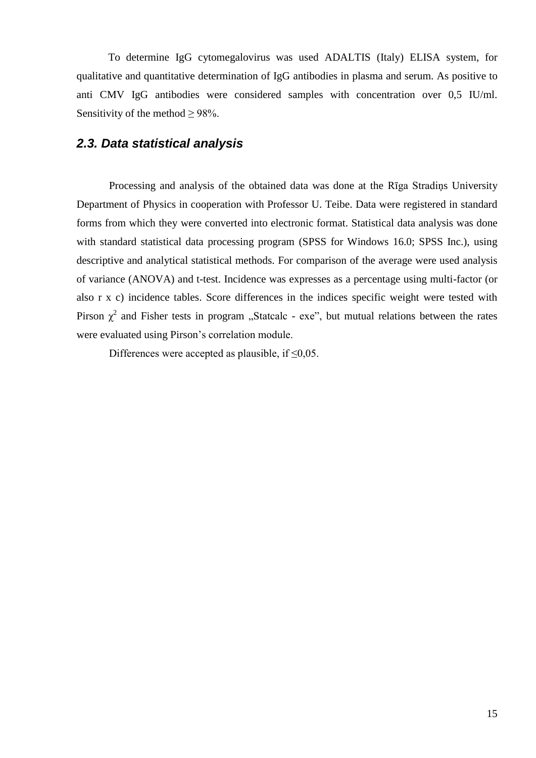To determine IgG cytomegalovirus was used ADALTIS (Italy) ELISA system, for qualitative and quantitative determination of IgG antibodies in plasma and serum. As positive to anti CMV IgG antibodies were considered samples with concentration over 0,5 IU/ml. Sensitivity of the method  $\geq$  98%.

#### *2.3. Data statistical analysis*

Processing and analysis of the obtained data was done at the Rīga Stradiņs University Department of Physics in cooperation with Professor U. Teibe. Data were registered in standard forms from which they were converted into electronic format. Statistical data analysis was done with standard statistical data processing program (SPSS for Windows 16.0; SPSS Inc.), using descriptive and analytical statistical methods. For comparison of the average were used analysis of variance (ANOVA) and t-test. Incidence was expresses as a percentage using multi-factor (or also r x c) incidence tables. Score differences in the indices specific weight were tested with Pirson  $\chi^2$  and Fisher tests in program "Statcalc - exe", but mutual relations between the rates were evaluated using Pirson's correlation module.

Differences were accepted as plausible, if  $\leq 0.05$ .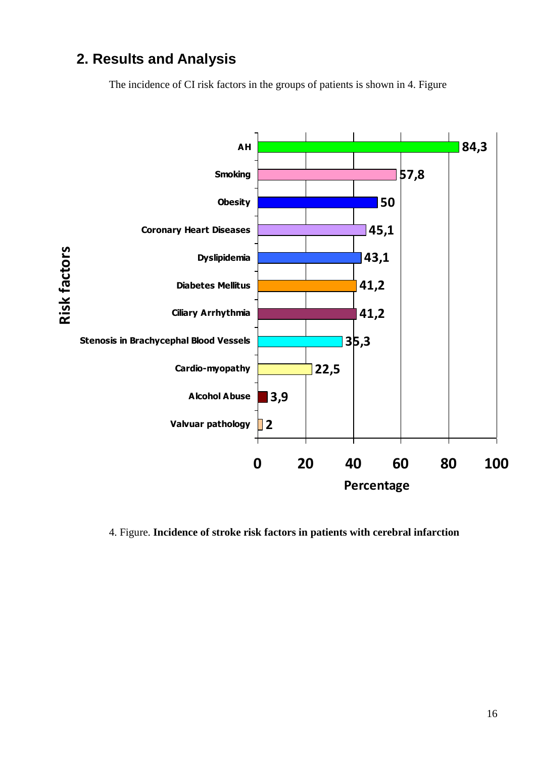# **2. Results and Analysis**

The incidence of CI risk factors in the groups of patients is shown in 4. Figure



4. Figure. **Incidence of stroke risk factors in patients with cerebral infarction**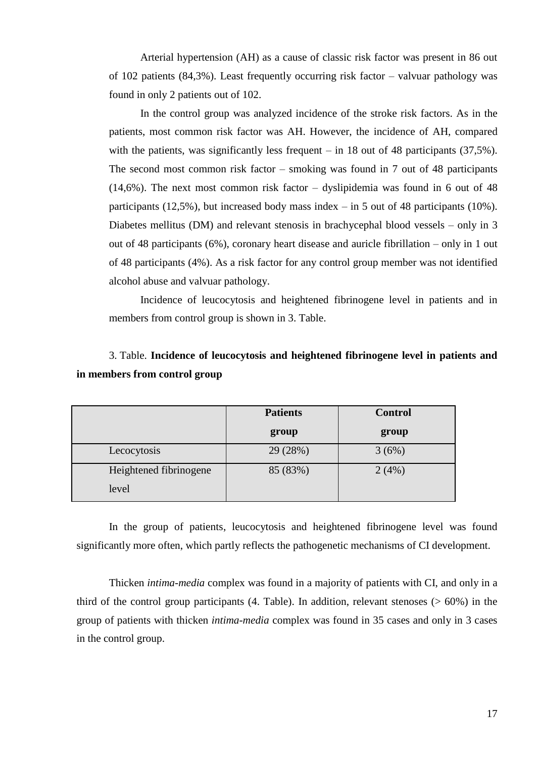Arterial hypertension (AH) as a cause of classic risk factor was present in 86 out of 102 patients (84,3%). Least frequently occurring risk factor – valvuar pathology was found in only 2 patients out of 102.

In the control group was analyzed incidence of the stroke risk factors. As in the patients, most common risk factor was AH. However, the incidence of AH, compared with the patients, was significantly less frequent – in 18 out of 48 participants  $(37.5\%)$ . The second most common risk factor – smoking was found in 7 out of 48 participants (14,6%). The next most common risk factor – dyslipidemia was found in 6 out of 48 participants (12,5%), but increased body mass index – in 5 out of 48 participants (10%). Diabetes mellitus (DM) and relevant stenosis in brachycephal blood vessels – only in 3 out of 48 participants (6%), coronary heart disease and auricle fibrillation – only in 1 out of 48 participants (4%). As a risk factor for any control group member was not identified alcohol abuse and valvuar pathology.

Incidence of leucocytosis and heightened fibrinogene level in patients and in members from control group is shown in 3. Table.

# 3. Table. **Incidence of leucocytosis and heightened fibrinogene level in patients and in members from control group**

|                        | <b>Patients</b> | <b>Control</b> |
|------------------------|-----------------|----------------|
|                        | group           | group          |
| Lecocytosis            | 29 (28%)        | 3(6%)          |
| Heightened fibrinogene | 85 (83%)        | 2(4%)          |
| level                  |                 |                |

In the group of patients, leucocytosis and heightened fibrinogene level was found significantly more often, which partly reflects the pathogenetic mechanisms of CI development.

Thicken *intima-media* complex was found in a majority of patients with CI, and only in a third of the control group participants  $(4. \text{ Table})$ . In addition, relevant stenoses  $(>60\%)$  in the group of patients with thicken *intima-media* complex was found in 35 cases and only in 3 cases in the control group.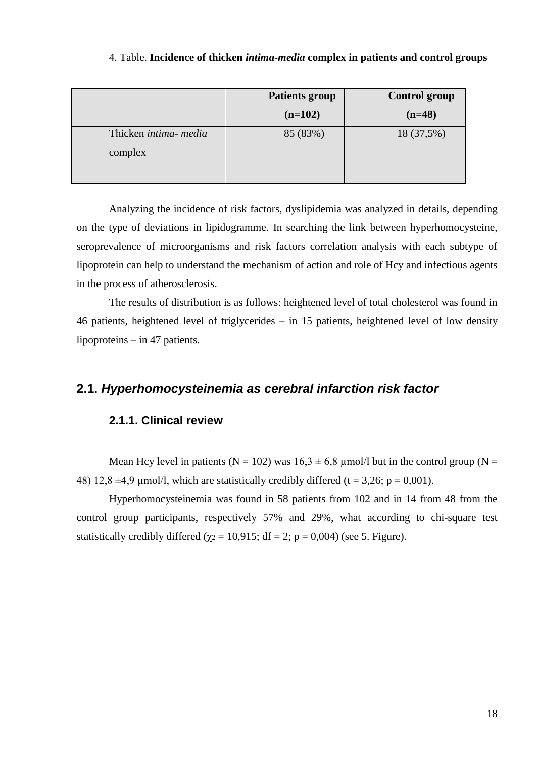#### 4. Table. **Incidence of thicken** *intima-media* **complex in patients and control groups**

|                       | <b>Patients group</b> | <b>Control group</b> |
|-----------------------|-----------------------|----------------------|
|                       | $(n=102)$             | $(n=48)$             |
| Thicken intima- media | 85 (83%)              | 18 (37,5%)           |
| complex               |                       |                      |
|                       |                       |                      |

Analyzing the incidence of risk factors, dyslipidemia was analyzed in details, depending on the type of deviations in lipidogramme. In searching the link between hyperhomocysteine, seroprevalence of microorganisms and risk factors correlation analysis with each subtype of lipoprotein can help to understand the mechanism of action and role of Hcy and infectious agents in the process of atherosclerosis.

The results of distribution is as follows: heightened level of total cholesterol was found in 46 patients, heightened level of triglycerides – in 15 patients, heightened level of low density lipoproteins – in 47 patients.

### **2.1.** *Hyperhomocysteinemia as cerebral infarction risk factor*

#### **2.1.1. Clinical review**

Mean Hcy level in patients ( $N = 102$ ) was  $16.3 \pm 6.8$  µmol/l but in the control group ( $N =$ 48) 12,8  $\pm$ 4,9 µmol/l, which are statistically credibly differed (t = 3,26; p = 0,001).

Hyperhomocysteinemia was found in 58 patients from 102 and in 14 from 48 from the control group participants, respectively 57% and 29%, what according to chi-square test statistically credibly differed ( $\gamma$ <sub>2</sub> = 10,915; df = 2; p = 0,004) (see 5. Figure).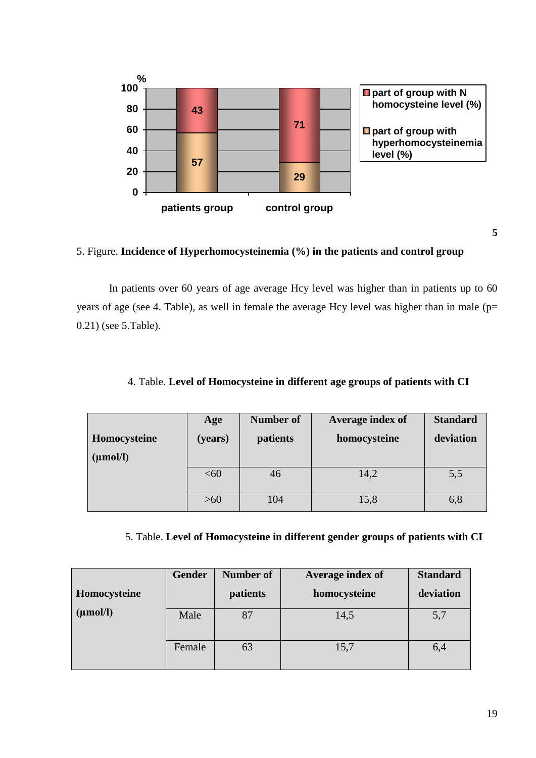

#### 5. Figure. **Incidence of Hyperhomocysteinemia (%) in the patients and control group**

In patients over 60 years of age average Hcy level was higher than in patients up to 60 years of age (see 4. Table), as well in female the average Hcy level was higher than in male ( $p=$ 0.21) (see 5.Table).

|               | Age     | <b>Number of</b> | Average index of | <b>Standard</b> |
|---------------|---------|------------------|------------------|-----------------|
| Homocysteine  | (years) | patients         | homocysteine     | deviation       |
| $(\mu mol/l)$ |         |                  |                  |                 |
|               | <60     | 46               | 14,2             | 5,5             |
|               | $>60$   | 104              | 15,8             | 6,8             |

#### 4. Table. **Level of Homocysteine in different age groups of patients with CI**

#### 5. Table. **Level of Homocysteine in different gender groups of patients with CI**

|               | <b>Gender</b> | Number of | Average index of | <b>Standard</b> |
|---------------|---------------|-----------|------------------|-----------------|
| Homocysteine  |               | patients  | homocysteine     | deviation       |
| $(\mu mol/l)$ | Male          | 87        | 14,5             | 5,7             |
|               | Female        | 63        | 15,7             | 6,4             |

**5**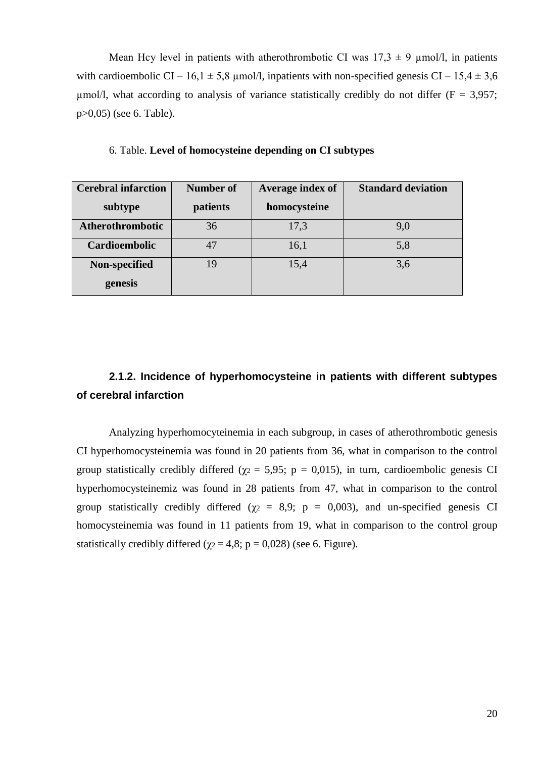Mean Hcy level in patients with atherothrombotic CI was  $17.3 \pm 9$  µmol/l, in patients with cardioembolic CI – 16,1  $\pm$  5,8 µmol/l, inpatients with non-specified genesis CI – 15,4  $\pm$  3,6 umol/l, what according to analysis of variance statistically credibly do not differ ( $F = 3.957$ ; p>0,05) (see 6. Table).

| <b>Cerebral infarction</b> | <b>Number of</b> | Average index of | <b>Standard deviation</b> |
|----------------------------|------------------|------------------|---------------------------|
| subtype                    | patients         | homocysteine     |                           |
| Atherothrombotic           | 36               | 17,3             | 9,0                       |
| Cardioembolic              | 47               | 16,1             | 5,8                       |
| Non-specified              | 19               | 15,4             | 3,6                       |
| genesis                    |                  |                  |                           |

6. Table. **Level of homocysteine depending on CI subtypes** 

# **2.1.2. Incidence of hyperhomocysteine in patients with different subtypes of cerebral infarction**

Analyzing hyperhomocyteinemia in each subgroup, in cases of atherothrombotic genesis CI hyperhomocysteinemia was found in 20 patients from 36, what in comparison to the control group statistically credibly differed ( $\gamma$ <sub>2</sub> = 5,95; p = 0,015), in turn, cardioembolic genesis CI hyperhomocysteinemiz was found in 28 patients from 47, what in comparison to the control group statistically credibly differed ( $\gamma$ <sup>2</sup> = 8,9; p = 0,003), and un-specified genesis CI homocysteinemia was found in 11 patients from 19, what in comparison to the control group statistically credibly differed ( $\chi$ <sup>2</sup> = 4,8; p = 0,028) (see 6. Figure).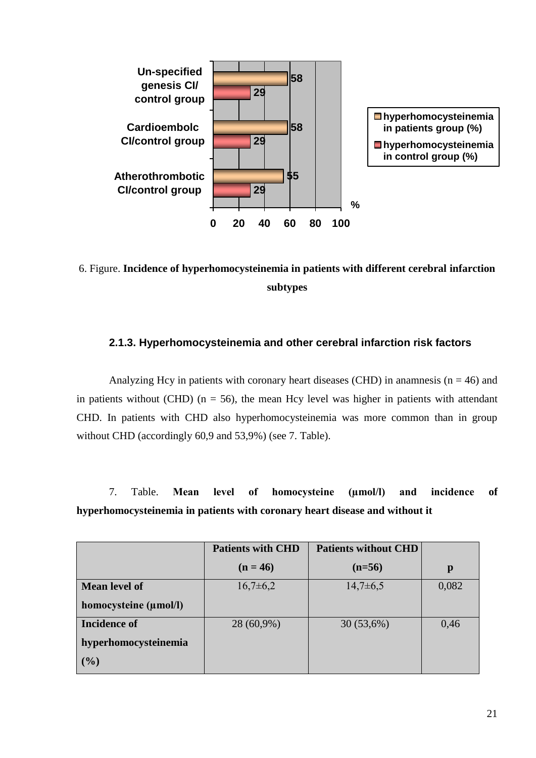

6. Figure. **Incidence of hyperhomocysteinemia in patients with different cerebral infarction subtypes**

#### **2.1.3. Hyperhomocysteinemia and other cerebral infarction risk factors**

Analyzing Hcy in patients with coronary heart diseases (CHD) in anamnesis ( $n = 46$ ) and in patients without (CHD) ( $n = 56$ ), the mean Hcy level was higher in patients with attendant CHD. In patients with CHD also hyperhomocysteinemia was more common than in group without CHD (accordingly 60,9 and 53,9%) (see 7. Table).

7. Table. **Mean level of homocysteine (µmol/l) and incidence of hyperhomocysteinemia in patients with coronary heart disease and without it**

|                       | <b>Patients with CHD</b> | <b>Patients without CHD</b> |       |
|-----------------------|--------------------------|-----------------------------|-------|
|                       | $(n = 46)$               | $(n=56)$                    | p     |
| <b>Mean level of</b>  | $16,7\pm 6,2$            | $14,7\pm6,5$                | 0,082 |
| homocysteine (µmol/l) |                          |                             |       |
| <b>Incidence of</b>   | 28 (60,9%)               | 30(53,6%)                   | 0,46  |
| hyperhomocysteinemia  |                          |                             |       |
| (9/0)                 |                          |                             |       |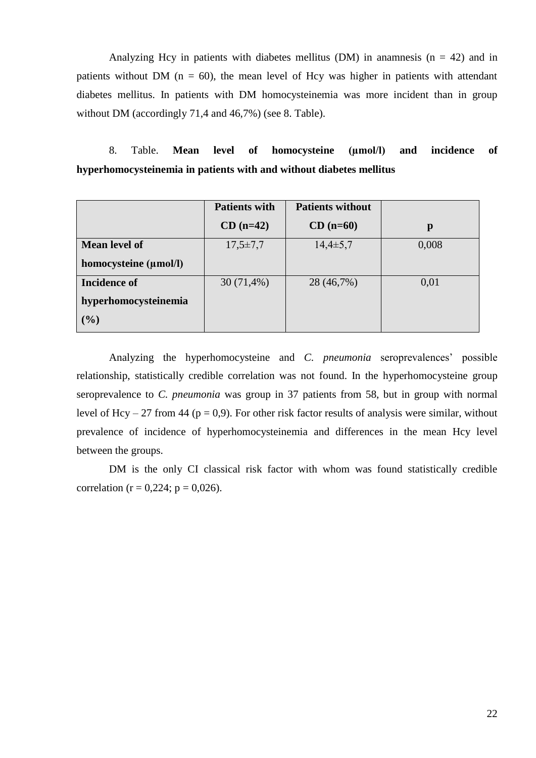Analyzing Hcy in patients with diabetes mellitus (DM) in anamnesis  $(n = 42)$  and in patients without DM ( $n = 60$ ), the mean level of Hcy was higher in patients with attendant diabetes mellitus. In patients with DM homocysteinemia was more incident than in group without DM (accordingly 71,4 and 46,7%) (see 8. Table).

8. Table. **Mean level of homocysteine (µmol/l) and incidence of hyperhomocysteinemia in patients with and without diabetes mellitus**

|                       | <b>Patients with</b> | <b>Patients without</b> |       |
|-----------------------|----------------------|-------------------------|-------|
|                       | $CD$ (n=42)          | $CD$ (n=60)             | p     |
| <b>Mean level of</b>  | $17,5 \pm 7,7$       | $14,4\pm 5,7$           | 0,008 |
| homocysteine (μmol/l) |                      |                         |       |
| Incidence of          | $30(71,4\%)$         | 28 (46,7%)              | 0,01  |
| hyperhomocysteinemia  |                      |                         |       |
| (9/0)                 |                      |                         |       |

Analyzing the hyperhomocysteine and *C. pneumonia* seroprevalences' possible relationship, statistically credible correlation was not found. In the hyperhomocysteine group seroprevalence to *C. pneumonia* was group in 37 patients from 58, but in group with normal level of Hcy – 27 from 44 ( $p = 0.9$ ). For other risk factor results of analysis were similar, without prevalence of incidence of hyperhomocysteinemia and differences in the mean Hcy level between the groups.

DM is the only CI classical risk factor with whom was found statistically credible correlation ( $r = 0.224$ ;  $p = 0.026$ ).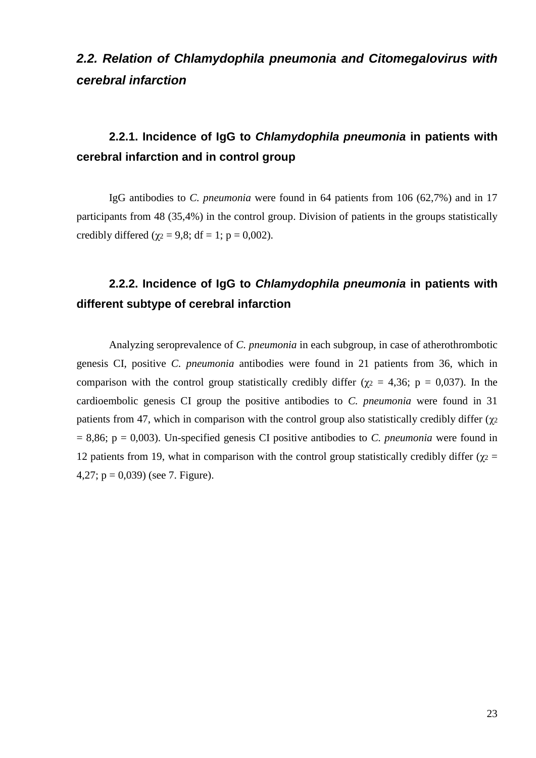# *2.2. Relation of Chlamydophila pneumonia and Citomegalovirus with cerebral infarction*

# **2.2.1. Incidence of IgG to** *Chlamydophila pneumonia* **in patients with cerebral infarction and in control group**

IgG antibodies to *C. pneumonia* were found in 64 patients from 106 (62,7%) and in 17 participants from 48 (35,4%) in the control group. Division of patients in the groups statistically credibly differed ( $\gamma$ <sub>2</sub> = 9,8; df = 1; p = 0,002).

# **2.2.2. Incidence of IgG to** *Chlamydophila pneumonia* **in patients with different subtype of cerebral infarction**

Analyzing seroprevalence of *C. pneumonia* in each subgroup, in case of atherothrombotic genesis CI, positive *C. pneumonia* antibodies were found in 21 patients from 36, which in comparison with the control group statistically credibly differ ( $\chi$ <sup>2</sup> = 4,36; p = 0,037). In the cardioembolic genesis CI group the positive antibodies to *C. pneumonia* were found in 31 patients from 47, which in comparison with the control group also statistically credibly differ ( $\chi$ 2 = 8,86; p = 0,003). Un-specified genesis CI positive antibodies to *C. pneumonia* were found in 12 patients from 19, what in comparison with the control group statistically credibly differ (χ $2 =$ 4,27;  $p = 0.039$  (see 7. Figure).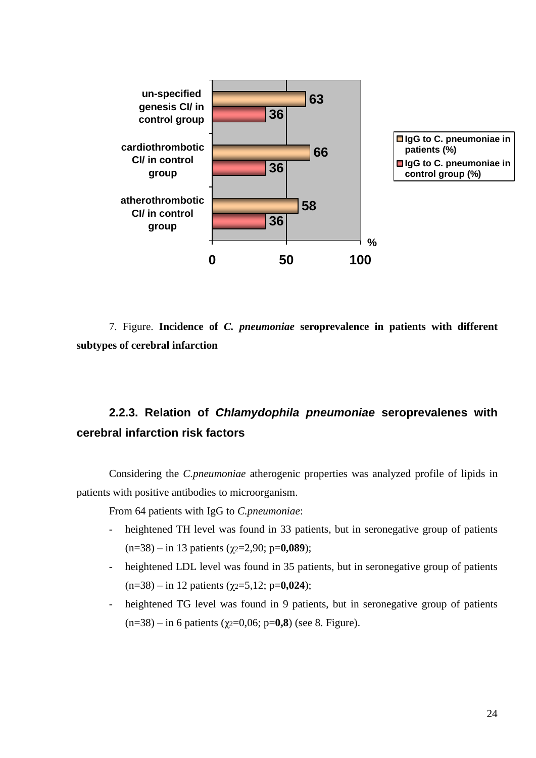

7. Figure. **Incidence of** *C. pneumoniae* **seroprevalence in patients with different subtypes of cerebral infarction**

# **2.2.3. Relation of** *Chlamydophila pneumoniae* **seroprevalenes with cerebral infarction risk factors**

Considering the *C.pneumoniae* atherogenic properties was analyzed profile of lipids in patients with positive antibodies to microorganism.

From 64 patients with IgG to *C.pneumoniae*:

- heightened TH level was found in 33 patients, but in seronegative group of patients (n=38) – in 13 patients (χ2=2,90; p=**0,089**);
- heightened LDL level was found in 35 patients, but in seronegative group of patients (n=38) – in 12 patients (χ2=5,12; p=**0,024**);
- heightened TG level was found in 9 patients, but in seronegative group of patients (n=38) – in 6 patients (χ2=0,06; p=**0,8**) (see 8. Figure).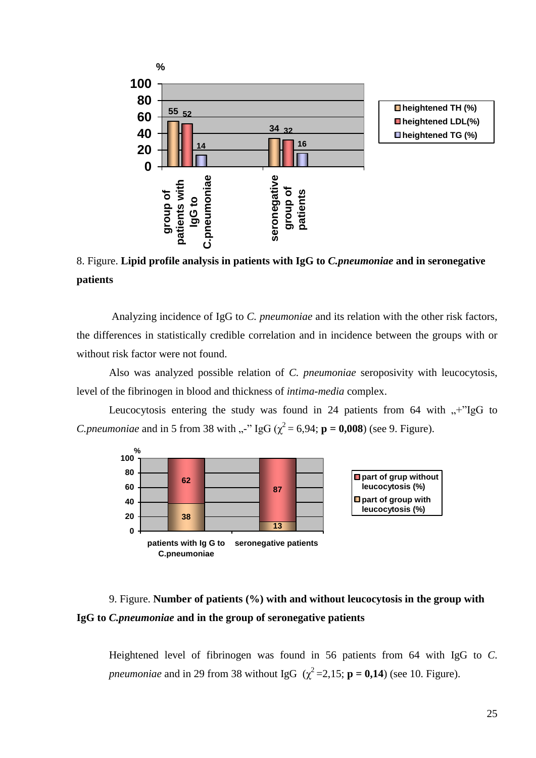

8. Figure. **Lipid profile analysis in patients with IgG to** *C.pneumoniae* **and in seronegative patients** 

Analyzing incidence of IgG to *C. pneumoniae* and its relation with the other risk factors, the differences in statistically credible correlation and in incidence between the groups with or without risk factor were not found.

Also was analyzed possible relation of *C. pneumoniae* seroposivity with leucocytosis, level of the fibrinogen in blood and thickness of *intima-media* complex.

Leucocytosis entering the study was found in 24 patients from 64 with  $+$ "IgG to *C.pneumoniae* and in 5 from 38 with ...<sup>23</sup> IgG ( $\chi^2$  = 6,94; **p** = **0,008**) (see 9. Figure).



# 9. Figure. **Number of patients (%) with and without leucocytosis in the group with IgG to** *C.pneumoniae* **and in the group of seronegative patients**

Heightened level of fibrinogen was found in 56 patients from 64 with IgG to *C. pneumoniae* and in 29 from 38 without IgG  $(\chi^2 = 2.15; \mathbf{p} = 0.14)$  (see 10. Figure).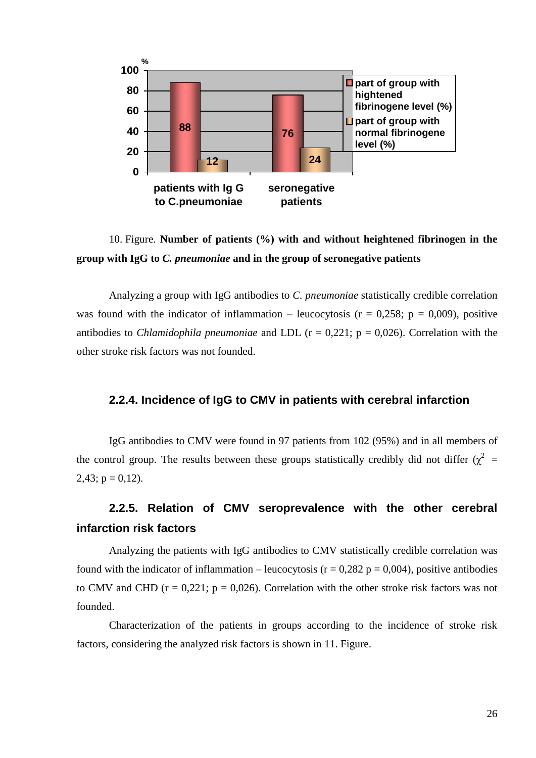

10. Figure. **Number of patients (%) with and without heightened fibrinogen in the group with IgG to** *C. pneumoniae* **and in the group of seronegative patients**

Analyzing a group with IgG antibodies to *C. pneumoniae* statistically credible correlation was found with the indicator of inflammation – leucocytosis ( $r = 0.258$ ;  $p = 0.009$ ), positive antibodies to *Chlamidophila pneumoniae* and LDL (r = 0,221; p = 0,026). Correlation with the other stroke risk factors was not founded.

#### **2.2.4. Incidence of IgG to CMV in patients with cerebral infarction**

IgG antibodies to CMV were found in 97 patients from 102 (95%) and in all members of the control group. The results between these groups statistically credibly did not differ  $(\chi^2 =$  $2,43$ ;  $p = 0,12$ ).

# **2.2.5. Relation of CMV seroprevalence with the other cerebral infarction risk factors**

Analyzing the patients with IgG antibodies to CMV statistically credible correlation was found with the indicator of inflammation – leucocytosis ( $r = 0.282$  p = 0,004), positive antibodies to CMV and CHD ( $r = 0.221$ ;  $p = 0.026$ ). Correlation with the other stroke risk factors was not founded.

Characterization of the patients in groups according to the incidence of stroke risk factors, considering the analyzed risk factors is shown in 11. Figure.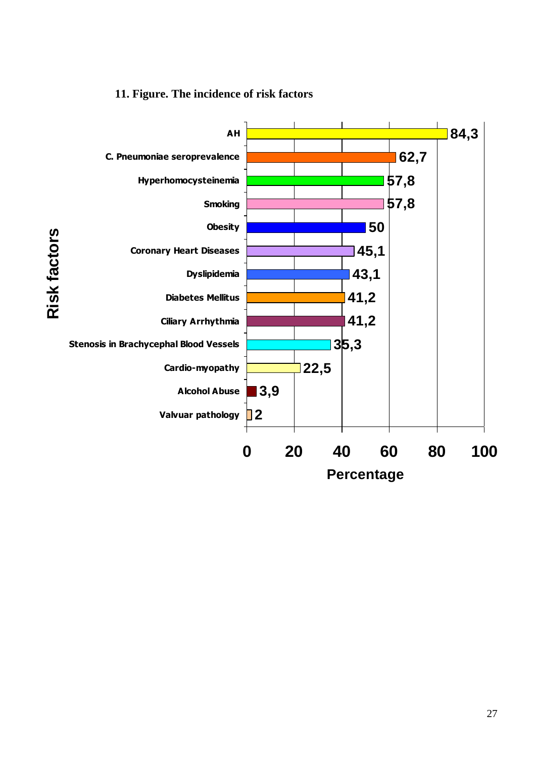# **11. Figure. The incidence of risk factors**

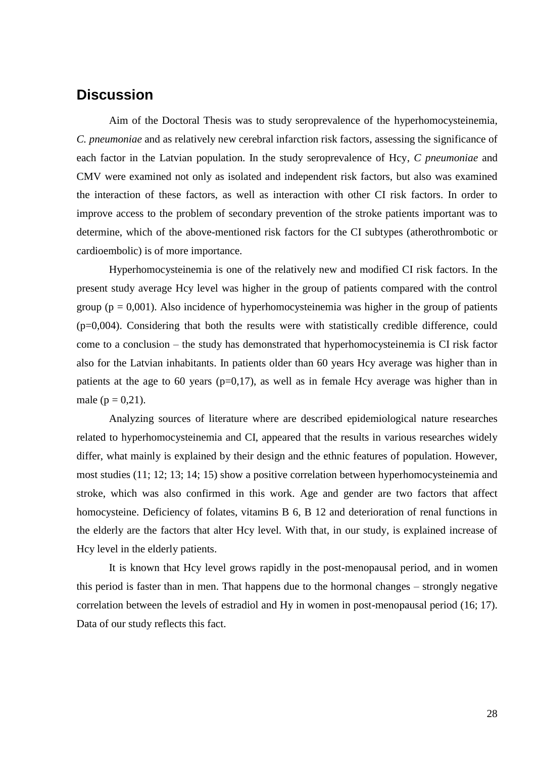### **Discussion**

Aim of the Doctoral Thesis was to study seroprevalence of the hyperhomocysteinemia, *C. pneumoniae* and as relatively new cerebral infarction risk factors, assessing the significance of each factor in the Latvian population. In the study seroprevalence of Hcy, *C pneumoniae* and CMV were examined not only as isolated and independent risk factors, but also was examined the interaction of these factors, as well as interaction with other CI risk factors. In order to improve access to the problem of secondary prevention of the stroke patients important was to determine, which of the above-mentioned risk factors for the CI subtypes (atherothrombotic or cardioembolic) is of more importance.

Hyperhomocysteinemia is one of the relatively new and modified CI risk factors. In the present study average Hcy level was higher in the group of patients compared with the control group ( $p = 0.001$ ). Also incidence of hyperhomocysteinemia was higher in the group of patients  $(p=0.004)$ . Considering that both the results were with statistically credible difference, could come to a conclusion – the study has demonstrated that hyperhomocysteinemia is CI risk factor also for the Latvian inhabitants. In patients older than 60 years Hcy average was higher than in patients at the age to 60 years ( $p=0,17$ ), as well as in female Hcy average was higher than in male ( $p = 0.21$ ).

Analyzing sources of literature where are described epidemiological nature researches related to hyperhomocysteinemia and CI, appeared that the results in various researches widely differ, what mainly is explained by their design and the ethnic features of population. However, most studies (11; 12; 13; 14; 15) show a positive correlation between hyperhomocysteinemia and stroke, which was also confirmed in this work. Age and gender are two factors that affect homocysteine. Deficiency of folates, vitamins B 6, B 12 and deterioration of renal functions in the elderly are the factors that alter Hcy level. With that, in our study, is explained increase of Hcy level in the elderly patients.

It is known that Hcy level grows rapidly in the post-menopausal period, and in women this period is faster than in men. That happens due to the hormonal changes – strongly negative correlation between the levels of estradiol and Hy in women in post-menopausal period (16; 17). Data of our study reflects this fact.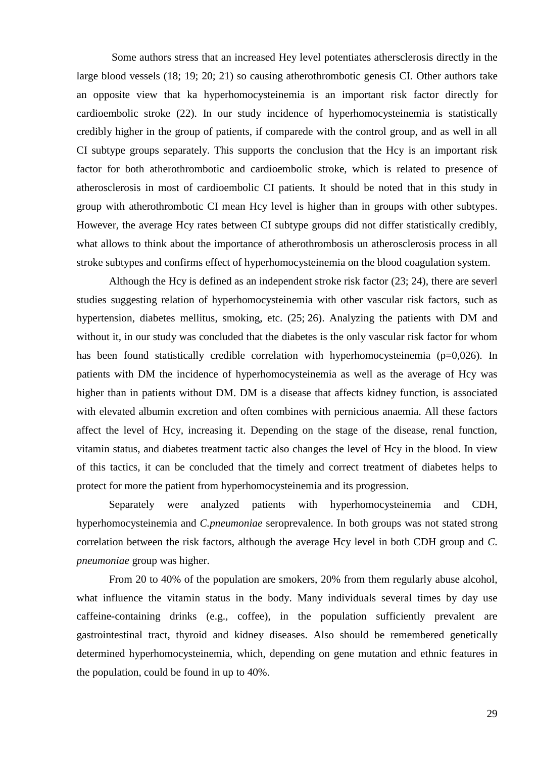Some authors stress that an increased Hey level potentiates athersclerosis directly in the large blood vessels (18; 19; 20; 21) so causing atherothrombotic genesis CI. Other authors take an opposite view that ka hyperhomocysteinemia is an important risk factor directly for cardioembolic stroke (22). In our study incidence of hyperhomocysteinemia is statistically credibly higher in the group of patients, if comparede with the control group, and as well in all CI subtype groups separately. This supports the conclusion that the Hcy is an important risk factor for both atherothrombotic and cardioembolic stroke, which is related to presence of atherosclerosis in most of cardioembolic CI patients. It should be noted that in this study in group with atherothrombotic CI mean Hcy level is higher than in groups with other subtypes. However, the average Hcy rates between CI subtype groups did not differ statistically credibly, what allows to think about the importance of atherothrombosis un atherosclerosis process in all stroke subtypes and confirms effect of hyperhomocysteinemia on the blood coagulation system.

Although the Hcy is defined as an independent stroke risk factor (23; 24), there are severl studies suggesting relation of hyperhomocysteinemia with other vascular risk factors, such as hypertension, diabetes mellitus, smoking, etc. (25; 26). Analyzing the patients with DM and without it, in our study was concluded that the diabetes is the only vascular risk factor for whom has been found statistically credible correlation with hyperhomocysteinemia (p=0,026). In patients with DM the incidence of hyperhomocysteinemia as well as the average of Hcy was higher than in patients without DM. DM is a disease that affects kidney function, is associated with elevated albumin excretion and often combines with pernicious anaemia. All these factors affect the level of Hcy, increasing it. Depending on the stage of the disease, renal function, vitamin status, and diabetes treatment tactic also changes the level of Hcy in the blood. In view of this tactics, it can be concluded that the timely and correct treatment of diabetes helps to protect for more the patient from hyperhomocysteinemia and its progression.

Separately were analyzed patients with hyperhomocysteinemia and CDH, hyperhomocysteinemia and *C.pneumoniae* seroprevalence. In both groups was not stated strong correlation between the risk factors, although the average Hcy level in both CDH group and *C. pneumoniae* group was higher.

From 20 to 40% of the population are smokers, 20% from them regularly abuse alcohol, what influence the vitamin status in the body. Many individuals several times by day use caffeine-containing drinks (e.g., coffee), in the population sufficiently prevalent are gastrointestinal tract, thyroid and kidney diseases. Also should be remembered genetically determined hyperhomocysteinemia, which, depending on gene mutation and ethnic features in the population, could be found in up to 40%.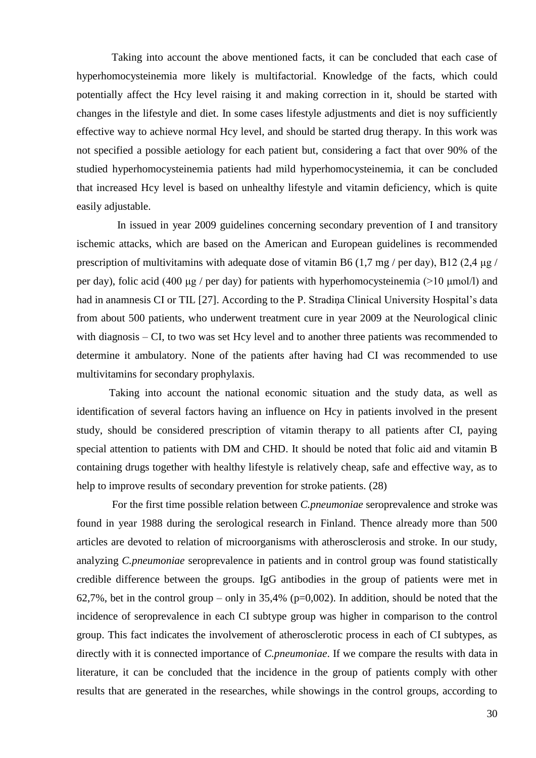Taking into account the above mentioned facts, it can be concluded that each case of hyperhomocysteinemia more likely is multifactorial. Knowledge of the facts, which could potentially affect the Hcy level raising it and making correction in it, should be started with changes in the lifestyle and diet. In some cases lifestyle adjustments and diet is noy sufficiently effective way to achieve normal Hcy level, and should be started drug therapy. In this work was not specified a possible aetiology for each patient but, considering a fact that over 90% of the studied hyperhomocysteinemia patients had mild hyperhomocysteinemia, it can be concluded that increased Hcy level is based on unhealthy lifestyle and vitamin deficiency, which is quite easily adjustable.

 In issued in year 2009 guidelines concerning secondary prevention of I and transitory ischemic attacks, which are based on the American and European guidelines is recommended prescription of multivitamins with adequate dose of vitamin B6 (1,7 mg/ per day), B12 (2,4  $\mu$ g/ per day), folic acid (400 μg / per day) for patients with hyperhomocysteinemia (>10 μmol/l) and had in anamnesis CI or TIL [27]. According to the P. Stradina Clinical University Hospital's data from about 500 patients, who underwent treatment cure in year 2009 at the Neurological clinic with diagnosis – CI, to two was set Hcy level and to another three patients was recommended to determine it ambulatory. None of the patients after having had CI was recommended to use multivitamins for secondary prophylaxis.

Taking into account the national economic situation and the study data, as well as identification of several factors having an influence on Hcy in patients involved in the present study, should be considered prescription of vitamin therapy to all patients after CI, paying special attention to patients with DM and CHD. It should be noted that folic aid and vitamin B containing drugs together with healthy lifestyle is relatively cheap, safe and effective way, as to help to improve results of secondary prevention for stroke patients. (28)

For the first time possible relation between *C.pneumoniae* seroprevalence and stroke was found in year 1988 during the serological research in Finland. Thence already more than 500 articles are devoted to relation of microorganisms with atherosclerosis and stroke. In our study, analyzing *C.pneumoniae* seroprevalence in patients and in control group was found statistically credible difference between the groups. IgG antibodies in the group of patients were met in 62,7%, bet in the control group – only in  $35,4\%$  (p=0,002). In addition, should be noted that the incidence of seroprevalence in each CI subtype group was higher in comparison to the control group. This fact indicates the involvement of atherosclerotic process in each of CI subtypes, as directly with it is connected importance of *C.pneumoniae*. If we compare the results with data in literature, it can be concluded that the incidence in the group of patients comply with other results that are generated in the researches, while showings in the control groups, according to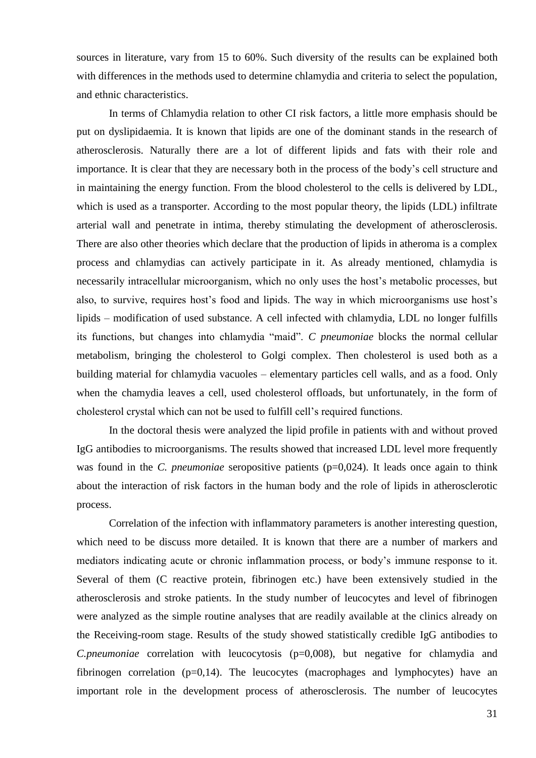sources in literature, vary from 15 to 60%. Such diversity of the results can be explained both with differences in the methods used to determine chlamydia and criteria to select the population, and ethnic characteristics.

In terms of Chlamydia relation to other CI risk factors, a little more emphasis should be put on dyslipidaemia. It is known that lipids are one of the dominant stands in the research of atherosclerosis. Naturally there are a lot of different lipids and fats with their role and importance. It is clear that they are necessary both in the process of the body's cell structure and in maintaining the energy function. From the blood cholesterol to the cells is delivered by LDL, which is used as a transporter. According to the most popular theory, the lipids (LDL) infiltrate arterial wall and penetrate in intima, thereby stimulating the development of atherosclerosis. There are also other theories which declare that the production of lipids in atheroma is a complex process and chlamydias can actively participate in it. As already mentioned, chlamydia is necessarily intracellular microorganism, which no only uses the host's metabolic processes, but also, to survive, requires host's food and lipids. The way in which microorganisms use host's lipids – modification of used substance. A cell infected with chlamydia, LDL no longer fulfills its functions, but changes into chlamydia "maid". *C pneumoniae* blocks the normal cellular metabolism, bringing the cholesterol to Golgi complex. Then cholesterol is used both as a building material for chlamydia vacuoles – elementary particles cell walls, and as a food. Only when the chamydia leaves a cell, used cholesterol offloads, but unfortunately, in the form of cholesterol crystal which can not be used to fulfill cell's required functions.

In the doctoral thesis were analyzed the lipid profile in patients with and without proved IgG antibodies to microorganisms. The results showed that increased LDL level more frequently was found in the *C. pneumoniae* seropositive patients (p=0,024). It leads once again to think about the interaction of risk factors in the human body and the role of lipids in atherosclerotic process.

Correlation of the infection with inflammatory parameters is another interesting question, which need to be discuss more detailed. It is known that there are a number of markers and mediators indicating acute or chronic inflammation process, or body's immune response to it. Several of them (C reactive protein, fibrinogen etc.) have been extensively studied in the atherosclerosis and stroke patients. In the study number of leucocytes and level of fibrinogen were analyzed as the simple routine analyses that are readily available at the clinics already on the Receiving-room stage. Results of the study showed statistically credible IgG antibodies to *C.pneumoniae* correlation with leucocytosis (p=0,008), but negative for chlamydia and fibrinogen correlation (p=0,14). The leucocytes (macrophages and lymphocytes) have an important role in the development process of atherosclerosis. The number of leucocytes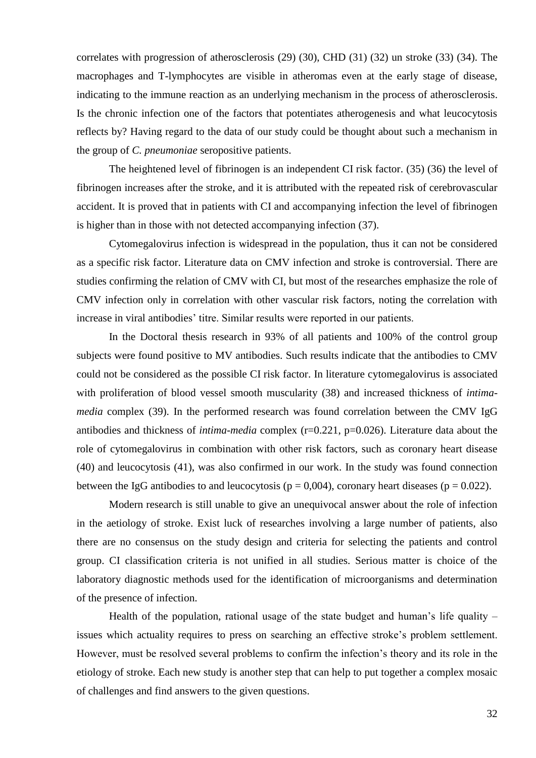correlates with progression of atherosclerosis (29) (30), CHD (31) (32) un stroke (33) (34). The macrophages and T-lymphocytes are visible in atheromas even at the early stage of disease, indicating to the immune reaction as an underlying mechanism in the process of atherosclerosis. Is the chronic infection one of the factors that potentiates atherogenesis and what leucocytosis reflects by? Having regard to the data of our study could be thought about such a mechanism in the group of *C. pneumoniae* seropositive patients.

The heightened level of fibrinogen is an independent CI risk factor. (35) (36) the level of fibrinogen increases after the stroke, and it is attributed with the repeated risk of cerebrovascular accident. It is proved that in patients with CI and accompanying infection the level of fibrinogen is higher than in those with not detected accompanying infection (37).

Cytomegalovirus infection is widespread in the population, thus it can not be considered as a specific risk factor. Literature data on CMV infection and stroke is controversial. There are studies confirming the relation of CMV with CI, but most of the researches emphasize the role of CMV infection only in correlation with other vascular risk factors, noting the correlation with increase in viral antibodies' titre. Similar results were reported in our patients.

In the Doctoral thesis research in 93% of all patients and 100% of the control group subjects were found positive to MV antibodies. Such results indicate that the antibodies to CMV could not be considered as the possible CI risk factor. In literature cytomegalovirus is associated with proliferation of blood vessel smooth muscularity (38) and increased thickness of *intimamedia* complex (39). In the performed research was found correlation between the CMV IgG antibodies and thickness of *intima-media* complex (r=0.221, p=0.026). Literature data about the role of cytomegalovirus in combination with other risk factors, such as coronary heart disease (40) and leucocytosis (41), was also confirmed in our work. In the study was found connection between the IgG antibodies to and leucocytosis ( $p = 0.004$ ), coronary heart diseases ( $p = 0.022$ ).

Modern research is still unable to give an unequivocal answer about the role of infection in the aetiology of stroke. Exist luck of researches involving a large number of patients, also there are no consensus on the study design and criteria for selecting the patients and control group. CI classification criteria is not unified in all studies. Serious matter is choice of the laboratory diagnostic methods used for the identification of microorganisms and determination of the presence of infection.

Health of the population, rational usage of the state budget and human's life quality  $$ issues which actuality requires to press on searching an effective stroke's problem settlement. However, must be resolved several problems to confirm the infection's theory and its role in the etiology of stroke. Each new study is another step that can help to put together a complex mosaic of challenges and find answers to the given questions.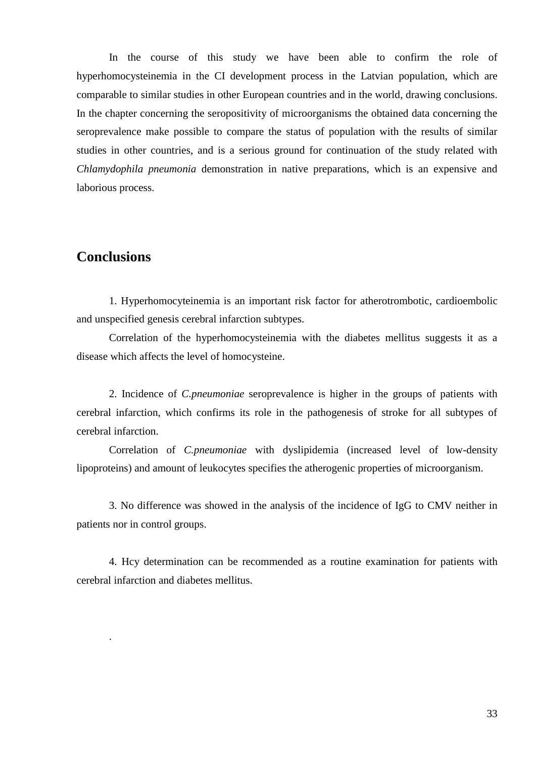In the course of this study we have been able to confirm the role of hyperhomocysteinemia in the CI development process in the Latvian population, which are comparable to similar studies in other European countries and in the world, drawing conclusions. In the chapter concerning the seropositivity of microorganisms the obtained data concerning the seroprevalence make possible to compare the status of population with the results of similar studies in other countries, and is a serious ground for continuation of the study related with *Chlamydophila pneumonia* demonstration in native preparations, which is an expensive and laborious process.

# **Conclusions**

.

1. Hyperhomocyteinemia is an important risk factor for atherotrombotic, cardioembolic and unspecified genesis cerebral infarction subtypes.

Correlation of the hyperhomocysteinemia with the diabetes mellitus suggests it as a disease which affects the level of homocysteine.

2. Incidence of *C.pneumoniae* seroprevalence is higher in the groups of patients with cerebral infarction, which confirms its role in the pathogenesis of stroke for all subtypes of cerebral infarction.

Correlation of *C.pneumoniae* with dyslipidemia (increased level of low-density lipoproteins) and amount of leukocytes specifies the atherogenic properties of microorganism.

3. No difference was showed in the analysis of the incidence of IgG to CMV neither in patients nor in control groups.

4. Hcy determination can be recommended as a routine examination for patients with cerebral infarction and diabetes mellitus.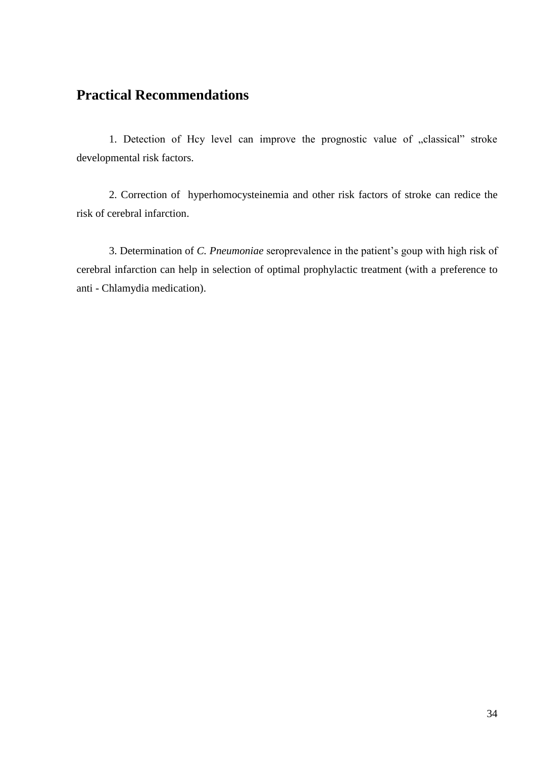# **Practical Recommendations**

1. Detection of Hcy level can improve the prognostic value of "classical" stroke developmental risk factors.

2. Correction of hyperhomocysteinemia and other risk factors of stroke can redice the risk of cerebral infarction.

3. Determination of *C. Pneumoniae* seroprevalence in the patient's goup with high risk of cerebral infarction can help in selection of optimal prophylactic treatment (with a preference to anti - Chlamydia medication).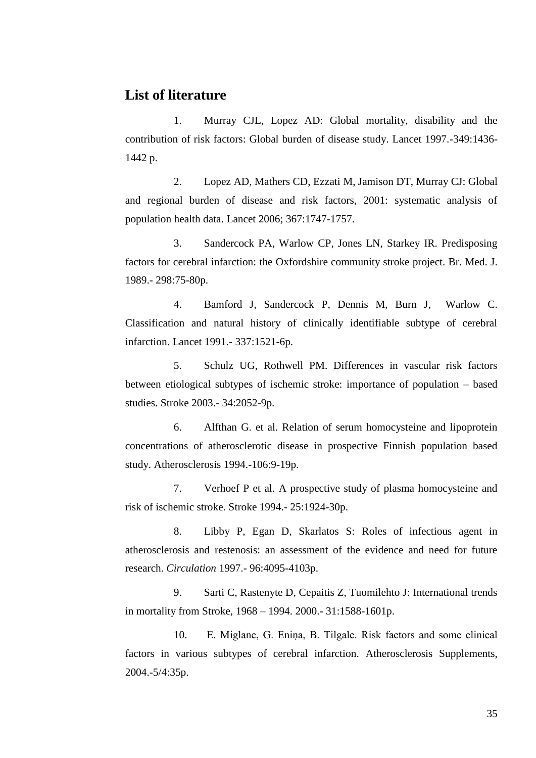### **List of literature**

1. Murray CJL, Lopez AD: Global mortality, disability and the contribution of risk factors: Global burden of disease study. Lancet 1997.-349:1436- 1442 p.

2. Lopez AD, Mathers CD, Ezzati M, Jamison DT, Murray CJ: Global and regional burden of disease and risk factors, 2001: systematic analysis of population health data. Lancet 2006; 367:1747-1757.

3. Sandercock PA, Warlow CP, Jones LN, Starkey IR. Predisposing factors for cerebral infarction: the Oxfordshire community stroke project. Br. Med. J. 1989.- 298:75-80p.

4. Bamford J, Sandercock P, Dennis M, Burn J, Warlow C. Classification and natural history of clinically identifiable subtype of cerebral infarction. Lancet 1991.- 337:1521-6p.

5. Schulz UG, Rothwell PM. Differences in vascular risk factors between etiological subtypes of ischemic stroke: importance of population – based studies. Stroke 2003.- 34:2052-9p.

6. Alfthan G. et al. Relation of serum homocysteine and lipoprotein concentrations of atherosclerotic disease in prospective Finnish population based study. Atherosclerosis 1994.-106:9-19p.

7. Verhoef P et al. A prospective study of plasma homocysteine and risk of ischemic stroke. Stroke 1994.- 25:1924-30p.

8. Libby P, Egan D, Skarlatos S: Roles of infectious agent in atherosclerosis and restenosis: an assessment of the evidence and need for future research. *Circulation* 1997.- 96:4095-4103p.

9. Sarti C, Rastenyte D, Cepaitis Z, Tuomilehto J: International trends in mortality from Stroke, 1968 – 1994. 2000.- 31:1588-1601p.

10. E. Miglane, G. Eniņa, B. Tilgale. Risk factors and some clinical factors in various subtypes of cerebral infarction. Atherosclerosis Supplements, 2004.-5/4:35p.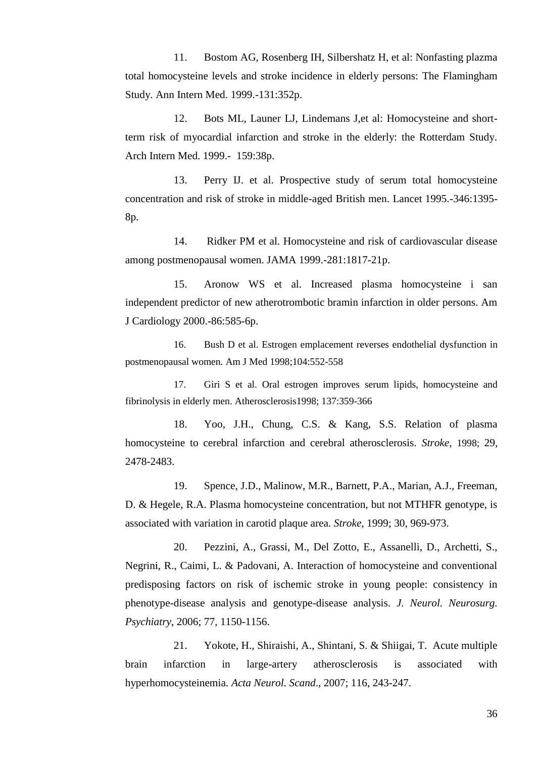11. Bostom AG, Rosenberg IH, Silbershatz H, et al: Nonfasting plazma total homocysteine levels and stroke incidence in elderly persons: The Flamingham Study. Ann Intern Med. 1999.-131:352p.

12. Bots ML, Launer LJ, Lindemans J,et al: Homocysteine and shortterm risk of myocardial infarction and stroke in the elderly: the Rotterdam Study. Arch Intern Med. 1999.- 159:38p.

13. Perry IJ. et al. Prospective study of serum total homocysteine concentration and risk of stroke in middle-aged British men. Lancet 1995.-346:1395- 8p.

14. Ridker PM et al. Homocysteine and risk of cardiovascular disease among postmenopausal women. JAMA 1999.-281:1817-21p.

15. Aronow WS et al. Increased plasma homocysteine i san independent predictor of new atherotrombotic bramin infarction in older persons. Am J Cardiology 2000.-86:585-6p.

16. Bush D et al. Estrogen emplacement reverses endothelial dysfunction in postmenopausal women. Am J Med 1998;104:552-558

17. Giri S et al. Oral estrogen improves serum lipids, homocysteine and fibrinolysis in elderly men. Atherosclerosis1998; 137:359-366

18. Yoo, J.H., Chung, C.S. & Kang, S.S. Relation of plasma homocysteine to cerebral infarction and cerebral atherosclerosis. *Stroke*, 1998; 29, 2478-2483.

19. Spence, J.D., Malinow, M.R., Barnett, P.A., Marian, A.J., Freeman, D. & Hegele, R.A. Plasma homocysteine concentration, but not MTHFR genotype, is associated with variation in carotid plaque area. *Stroke*, 1999; 30, 969-973.

20. Pezzini, A., Grassi, M., Del Zotto, E., Assanelli, D., Archetti, S., Negrini, R., Caimi, L. & Padovani, A. Interaction of homocysteine and conventional predisposing factors on risk of ischemic stroke in young people: consistency in phenotype-disease analysis and genotype-disease analysis. *J. Neurol. Neurosurg. Psychiatry*, 2006; 77, 1150-1156.

21. Yokote, H., Shiraishi, A., Shintani, S. & Shiigai, T. Acute multiple brain infarction in large-artery atherosclerosis is associated with hyperhomocysteinemia. *Acta Neurol. Scand*., 2007; 116, 243-247.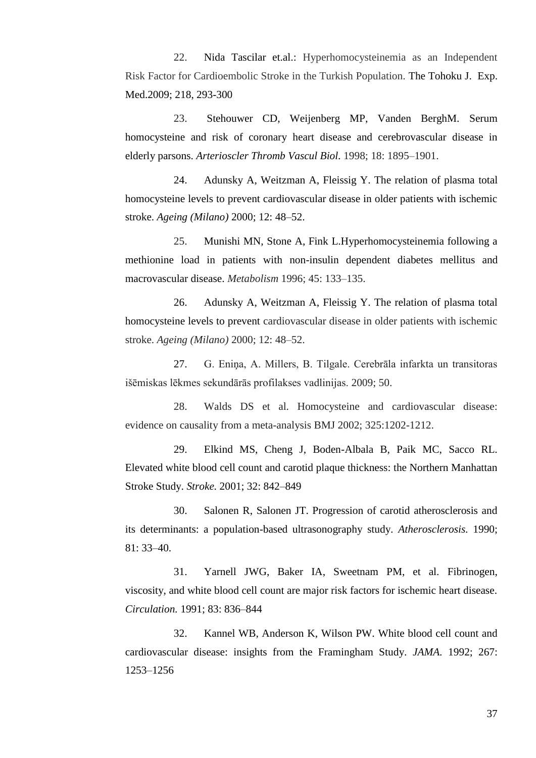22. Nida Tascilar et.al.: Hyperhomocysteinemia as an Independent Risk Factor for Cardioembolic Stroke in the Turkish Population. The Tohoku J. Exp. Med.2009; 218, 293-300

23. Stehouwer CD, Weijenberg MP, Vanden BerghM. Serum homocysteine and risk of coronary heart disease and cerebrovascular disease in elderly parsons. *Arterioscler Thromb Vascul Biol.* 1998; 18: 1895–1901.

24. Adunsky A, Weitzman A, Fleissig Y. The relation of plasma total homocysteine levels to prevent cardiovascular disease in older patients with ischemic stroke. *Ageing (Milano)* 2000; 12: 48–52.

25. Munishi MN, Stone A, Fink L.Hyperhomocysteinemia following a methionine load in patients with non-insulin dependent diabetes mellitus and macrovascular disease. *Metabolism* 1996; 45: 133–135.

26. Adunsky A, Weitzman A, Fleissig Y. The relation of plasma total homocysteine levels to prevent cardiovascular disease in older patients with ischemic stroke. *Ageing (Milano)* 2000; 12: 48–52.

27. G. Eniņa, A. Millers, B. Tilgale. Cerebrāla infarkta un transitoras išēmiskas lēkmes sekundārās profilakses vadlinijas. 2009; 50.

28. Walds DS et al. Homocysteine and cardiovascular disease: evidence on causality from a meta-analysis BMJ 2002; 325:1202-1212.

29. Elkind MS, Cheng J, Boden-Albala B, Paik MC, Sacco RL. Elevated white blood cell count and carotid plaque thickness: the Northern Manhattan Stroke Study. *Stroke.* 2001; 32: 842–849

30. Salonen R, Salonen JT. Progression of carotid atherosclerosis and its determinants: a population-based ultrasonography study. *Atherosclerosis.* 1990;  $81: 33-40.$ 

31. Yarnell JWG, Baker IA, Sweetnam PM, et al. Fibrinogen, viscosity, and white blood cell count are major risk factors for ischemic heart disease. *Circulation.* 1991; 83: 836–844

32. Kannel WB, Anderson K, Wilson PW. White blood cell count and cardiovascular disease: insights from the Framingham Study. *JAMA.* 1992; 267: 1253–1256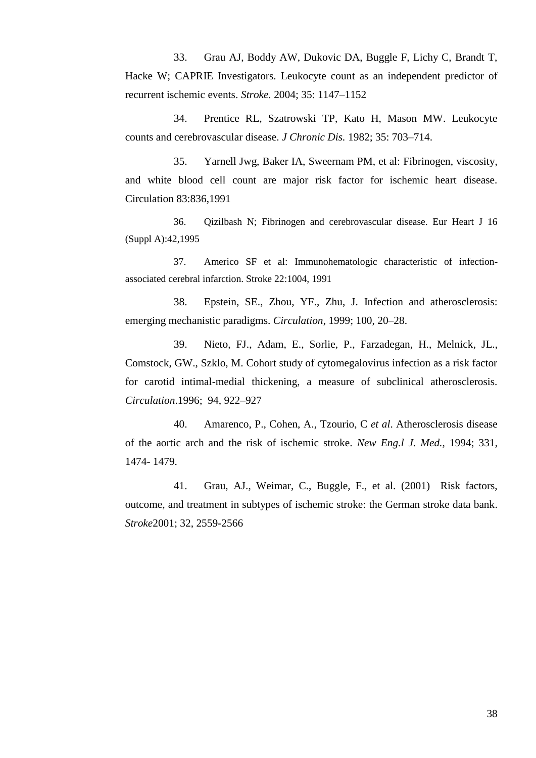33. Grau AJ, Boddy AW, Dukovic DA, Buggle F, Lichy C, Brandt T, Hacke W; CAPRIE Investigators. Leukocyte count as an independent predictor of recurrent ischemic events. *Stroke.* 2004; 35: 1147–1152

34. Prentice RL, Szatrowski TP, Kato H, Mason MW. Leukocyte counts and cerebrovascular disease. *J Chronic Dis.* 1982; 35: 703–714.

35. Yarnell Jwg, Baker IA, Sweernam PM, et al: Fibrinogen, viscosity, and white blood cell count are major risk factor for ischemic heart disease. Circulation 83:836,1991

36. Qizilbash N; Fibrinogen and cerebrovascular disease. Eur Heart J 16 (Suppl A):42,1995

37. Americo SF et al: Immunohematologic characteristic of infectionassociated cerebral infarction. Stroke 22:1004, 1991

38. Epstein, SE., Zhou, YF., Zhu, J. Infection and atherosclerosis: emerging mechanistic paradigms. *Circulation*, 1999; 100, 20–28.

39. Nieto, FJ., Adam, E., Sorlie, P., Farzadegan, H., Melnick, JL., Comstock, GW., Szklo, M. Cohort study of cytomegalovirus infection as a risk factor for carotid intimal-medial thickening, a measure of subclinical atherosclerosis. *Circulation*.1996; 94, 922–927

40. Amarenco, P., Cohen, A., Tzourio, C *et al*. Atherosclerosis disease of the aortic arch and the risk of ischemic stroke. *New Eng.l J. Med.*, 1994; 331, 1474- 1479.

41. Grau, AJ., Weimar, C., Buggle, F., et al. (2001) Risk factors, outcome, and treatment in subtypes of ischemic stroke: the German stroke data bank. *Stroke*2001; 32, 2559-2566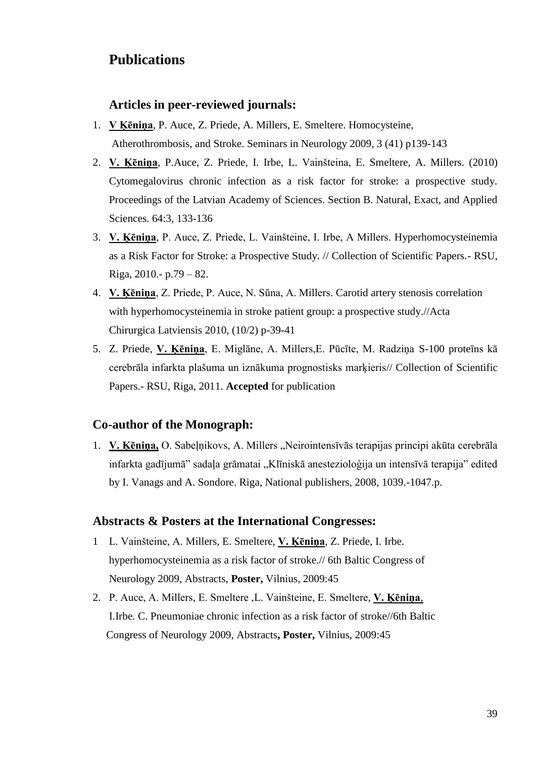# **Publications**

#### **Articles in peer-reviewed journals:**

- 1. **V Ķēniņa**, P. Auce, Z. Priede, A. Millers, E. Smeltere. Homocysteine, Atherothrombosis, and Stroke. Seminars in Neurology 2009, 3 (41) p139-143
- 2. **V. Ķēniņa**, P.Auce, Z. Priede, I. Irbe, L. Vainšteina, E. Smeltere, A. Millers. (2010) Cytomegalovirus chronic infection as a risk factor for stroke: a prospective study. Proceedings of the Latvian Academy of Sciences. Section B. Natural, Exact, and Applied Sciences. 64:3, 133-136
- 3. **V. Ķēniņa**, P. Auce, Z. Priede, L. Vainšteine, I. Irbe, A Millers. Hyperhomocysteinemia as a Risk Factor for Stroke: a Prospective Study. // Collection of Scientific Papers.- RSU, Riga, 2010.- p.79 – 82.
- 4. **V. Ķēniņa**, Z. Priede, P. Auce, N. Sūna, A. Millers. Carotid artery stenosis correlation with hyperhomocysteinemia in stroke patient group: a prospective study.//Acta Chirurgica Latviensis 2010, (10/2) p-39-41
- 5. Z. Priede, **V. Ķēniņa**, E. Miglāne, A. Millers,E. Pūcīte, M. Radziņa S-100 proteīns kā cerebrāla infarkta plašuma un iznākuma prognostisks marķieris// Collection of Scientific Papers.- RSU, Riga, 2011. **Accepted** for publication

#### **Co-author of the Monograph:**

1. **V. Ķēniņa,** O. Sabeļņikovs, A. Millers "Neirointensīvās terapijas principi akūta cerebrāla infarkta gadījumā" sadaļa grāmatai "Klīniskā anestezioloģija un intensīvā terapija" edited by I. Vanags and A. Sondore. Riga, National publishers, 2008, 1039.-1047.p.

#### **Abstracts & Posters at the International Congresses:**

- 1 L. Vainšteine, A. Millers, E. Smeltere, **V. Ķēniņa**, Z. Priede, I. Irbe. hyperhomocysteinemia as a risk factor of stroke.// 6th Baltic Congress of Neurology 2009, Abstracts, **Poster,** Vilnius, 2009:45
- 2. P. Auce, A. Millers, E. Smeltere ,L. Vainšteine, E. Smeltere, **V. Ķēniņa**, I.Irbe. C. Pneumoniae chronic infection as a risk factor of stroke//6th Baltic Congress of Neurology 2009, Abstracts**, Poster,** Vilnius, 2009:45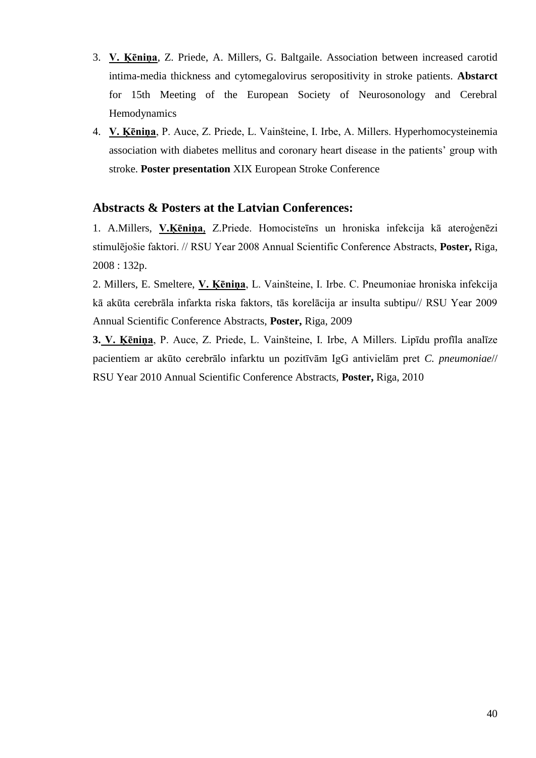- 3. **V. Ķēniņa**, Z. Priede, A. Millers, G. Baltgaile. Association between increased carotid intima-media thickness and cytomegalovirus seropositivity in stroke patients. **Abstarct** for 15th Meeting of the European Society of Neurosonology and Cerebral Hemodynamics
- 4. **V. Ķēniņa**, P. Auce, Z. Priede, L. Vainšteine, I. Irbe, A. Millers. Hyperhomocysteinemia association with diabetes mellitus and coronary heart disease in the patients' group with stroke. **Poster presentation** XIX European Stroke Conference

#### **Abstracts & Posters at the Latvian Conferences:**

1. A.Millers, **V.Ķēniņa**, Z.Priede. Homocisteīns un hroniska infekcija kā ateroģenēzi stimulējošie faktori. // RSU Year 2008 Annual Scientific Conference Abstracts, **Poster,** Riga, 2008 : 132p.

2. Millers, E. Smeltere, **V. Ķēniņa**, L. Vainšteine, I. Irbe. C. Pneumoniae hroniska infekcija kā akūta cerebrāla infarkta riska faktors, tās korelācija ar insulta subtipu// RSU Year 2009 Annual Scientific Conference Abstracts, **Poster,** Riga, 2009

**3. V. Ķēniņa**, P. Auce, Z. Priede, L. Vainšteine, I. Irbe, A Millers. Lipīdu profīla analīze pacientiem ar akūto cerebrālo infarktu un pozitīvām IgG antivielām pret *C. pneumoniae*// RSU Year 2010 Annual Scientific Conference Abstracts, **Poster,** Riga, 2010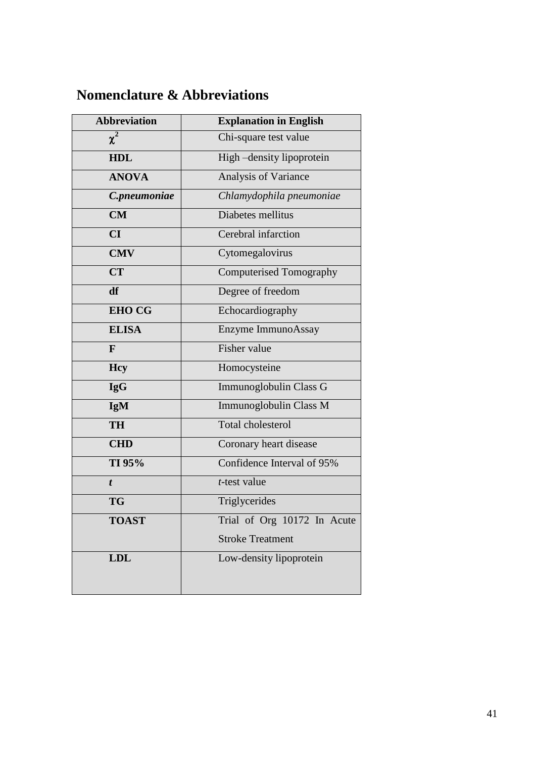# **Nomenclature & Abbreviations**

| <b>Abbreviation</b> | <b>Explanation in English</b>  |
|---------------------|--------------------------------|
| $\chi^2$            | Chi-square test value          |
| <b>HDL</b>          | High-density lipoprotein       |
| <b>ANOVA</b>        | <b>Analysis of Variance</b>    |
| C.pneumoniae        | Chlamydophila pneumoniae       |
| CM                  | Diabetes mellitus              |
| CI                  | Cerebral infarction            |
| <b>CMV</b>          | Cytomegalovirus                |
| <b>CT</b>           | <b>Computerised Tomography</b> |
| df                  | Degree of freedom              |
| <b>EHO CG</b>       | Echocardiography               |
| <b>ELISA</b>        | Enzyme ImmunoAssay             |
| F                   | <b>Fisher value</b>            |
| <b>Hcy</b>          | Homocysteine                   |
| <b>IgG</b>          | Immunoglobulin Class G         |
| <b>IgM</b>          | Immunoglobulin Class M         |
| <b>TH</b>           | <b>Total cholesterol</b>       |
| <b>CHD</b>          | Coronary heart disease         |
| TI 95%              | Confidence Interval of 95%     |
| t                   | <i>t</i> -test value           |
| <b>TG</b>           | Triglycerides                  |
| <b>TOAST</b>        | Trial of Org 10172 In Acute    |
|                     | <b>Stroke Treatment</b>        |
| <b>LDL</b>          | Low-density lipoprotein        |
|                     |                                |